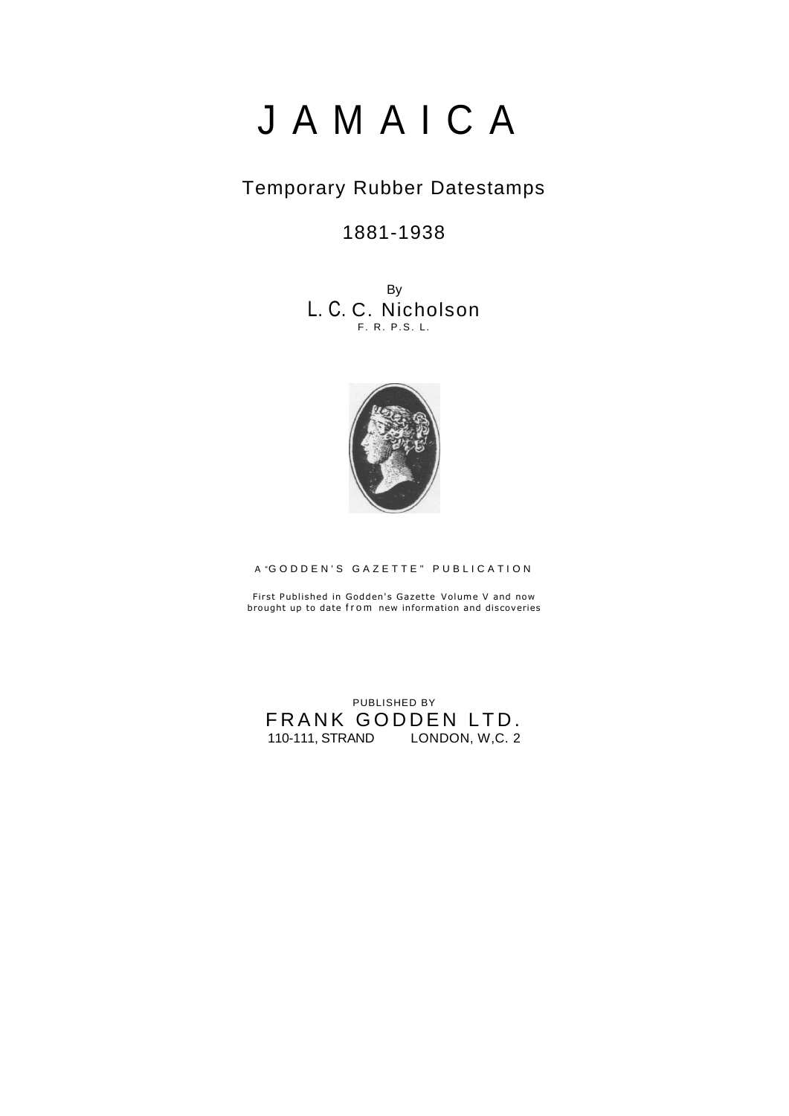# J A M A I C A

## Temporary Rubber Datestamps

1881-1938

By L. C. C. Nicholson F. R. P.S. L.



A "GODDEN'S GAZETTE" PUBLICATION

First Published in Godden's Gazette Volume V and now brought up to date from new information and discoveries

PUBLISHED BY FRANK GODDEN LTD. 110-111, STRAND LONDON, W,C. 2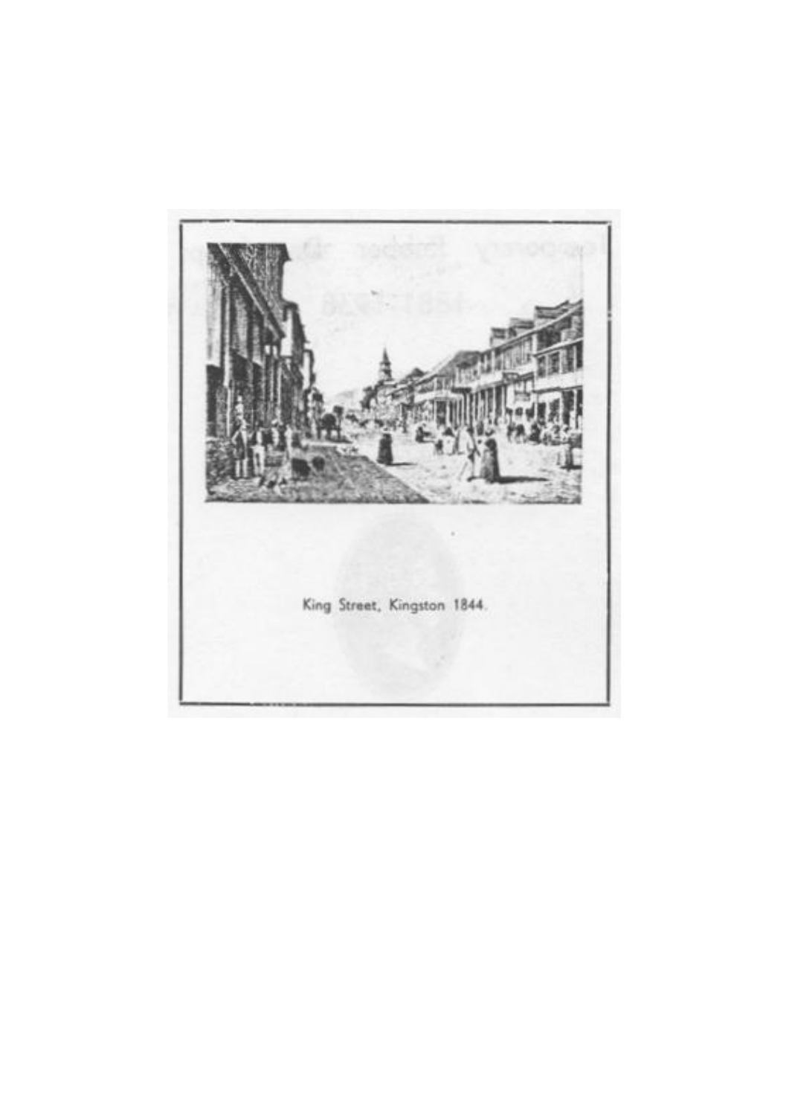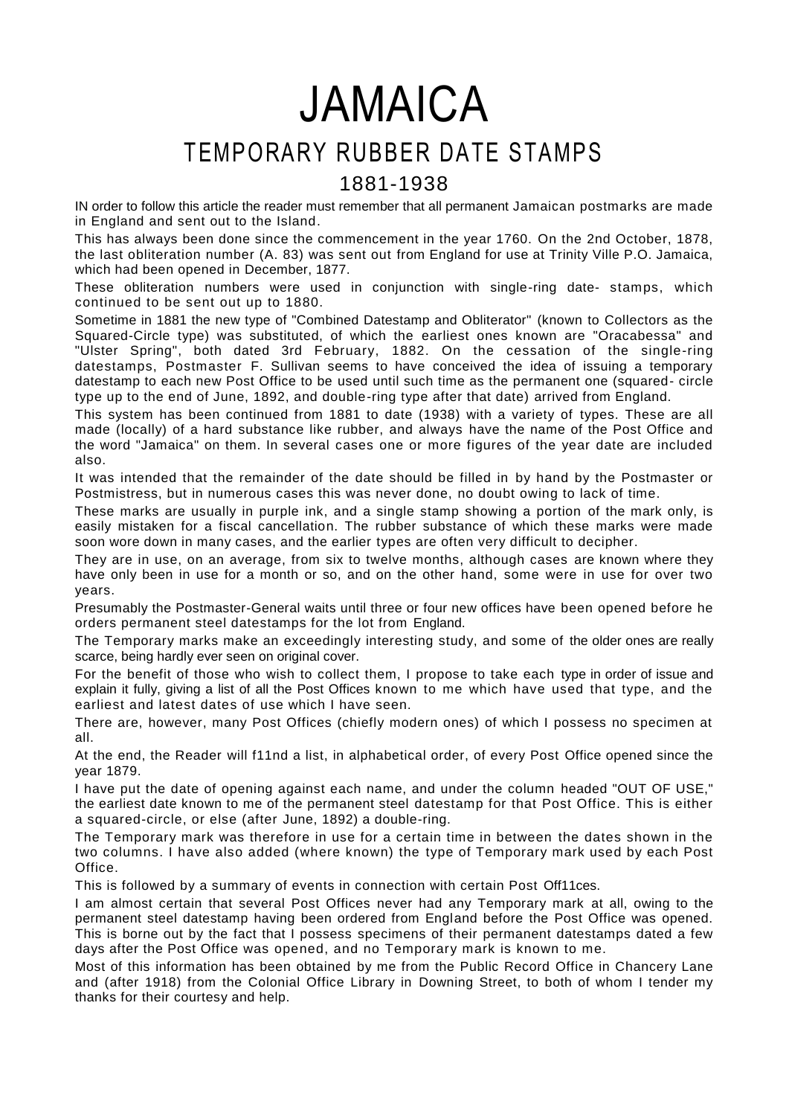JAMAICA

# TEMPORARY RUBBER DATE STAMPS

### 1881-1938

IN order to follow this article the reader must remember that all permanent Jamaican postmarks are made in England and sent out to the Island.

This has always been done since the commencement in the year 1760. On the 2nd October, 1878, the last obliteration number (A. 83) was sent out from England for use at Trinity Ville P.O. Jamaica, which had been opened in December, 1877.

These obliteration numbers were used in conjunction with single-ring date- stamps, which continued to be sent out up to 1880.

Sometime in 1881 the new type of "Combined Datestamp and Obliterator" (known to Collectors as the Squared-Circle type) was substituted, of which the earliest ones known are "Oracabessa" and "Ulster Spring", both dated 3rd February, 1882. On the cessation of the single-ring datestamps, Postmaster F. Sullivan seems to have conceived the idea of issuing a temporary datestamp to each new Post Office to be used until such time as the permanent one (squared- circle type up to the end of June, 1892, and double-ring type after that date) arrived from England.

This system has been continued from 1881 to date (1938) with a variety of types. These are all made (locally) of a hard substance like rubber, and always have the name of the Post Office and the word "Jamaica" on them. In several cases one or more figures of the year date are included also.

It was intended that the remainder of the date should be filled in by hand by the Postmaster or Postmistress, but in numerous cases this was never done, no doubt owing to lack of time.

These marks are usually in purple ink, and a single stamp showing a portion of the mark only, is easily mistaken for a fiscal cancellation. The rubber substance of which these marks were made soon wore down in many cases, and the earlier types are often very difficult to decipher.

They are in use, on an average, from six to twelve months, although cases are known where they have only been in use for a month or so, and on the other hand, some were in use for over two years.

Presumably the Postmaster-General waits until three or four new offices have been opened before he orders permanent steel datestamps for the lot from England.

The Temporary marks make an exceedingly interesting study, and some of the older ones are really scarce, being hardly ever seen on original cover.

For the benefit of those who wish to collect them, I propose to take each type in order of issue and explain it fully, giving a list of all the Post Offices known to me which have used that type, and the earliest and latest dates of use which I have seen.

There are, however, many Post Offices (chiefly modern ones) of which I possess no specimen at all.

At the end, the Reader will f11nd a list, in alphabetical order, of every Post Office opened since the year 1879.

I have put the date of opening against each name, and under the column headed "OUT OF USE," the earliest date known to me of the permanent steel datestamp for that Post Office. This is either a squared-circle, or else (after June, 1892) a double-ring.

The Temporary mark was therefore in use for a certain time in between the dates shown in the two columns. I have also added (where known) the type of Temporary mark used by each Post Office.

This is followed by a summary of events in connection with certain Post Off11ces.

I am almost certain that several Post Offices never had any Temporary mark at all, owing to the permanent steel datestamp having been ordered from England before the Post Office was opened. This is borne out by the fact that I possess specimens of their permanent datestamps dated a few days after the Post Office was opened, and no Temporary mark is known to me.

Most of this information has been obtained by me from the Public Record Office in Chancery Lane and (after 1918) from the Colonial Office Library in Downing Street, to both of whom I tender my thanks for their courtesy and help.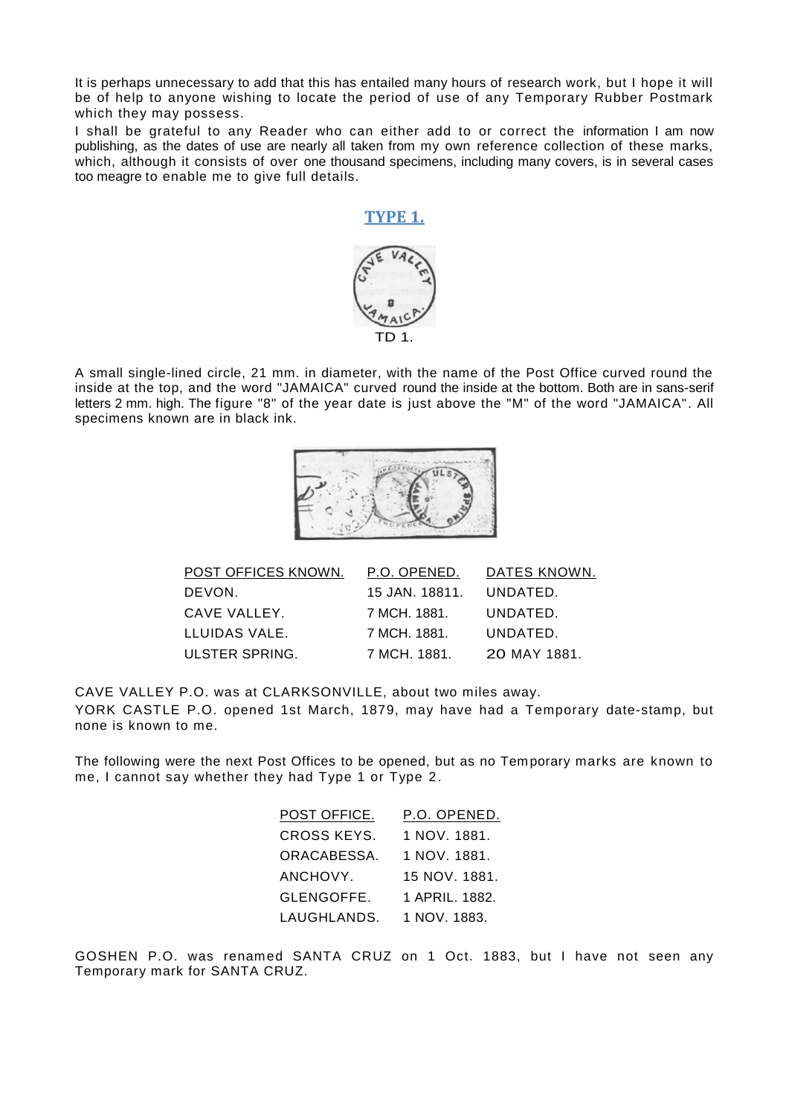It is perhaps unnecessary to add that this has entailed many hours of research work, but I hope it will be of help to anyone wishing to locate the period of use of any Temporary Rubber Postmark which they may possess.

I shall be grateful to any Reader who can either add to or correct the information I am now publishing, as the dates of use are nearly all taken from my own reference collection of these marks, which, although it consists of over one thousand specimens, including many covers, is in several cases too meagre to enable me to give full details.

# **TYPE 1.**



A small single-lined circle, 21 mm. in diameter, with the name of the Post Office curved round the inside at the top, and the word "JAMAICA" curved round the inside at the bottom. Both are in sans-serif letters 2 mm. high. The figure "8" of the year date is just above the "M" of the word "JAMAICA". All specimens known are in black ink.



| POST OFFICES KNOWN. | P.O. OPENED.   | DATES KNOWN. |
|---------------------|----------------|--------------|
| DEVON.              | 15 JAN. 18811. | UNDATED.     |
| CAVE VALLEY.        | 7 MCH. 1881.   | UNDATED.     |
| LLUIDAS VALE.       | 7 MCH. 1881.   | UNDATED.     |
| ULSTER SPRING.      | 7 MCH. 1881.   | 20 MAY 1881. |

CAVE VALLEY P.O. was at CLARKSONVILLE, about two miles away. YORK CASTLE P.O. opened 1st March, 1879, may have had a Temporary date-stamp, but none is known to me.

The following were the next Post Offices to be opened, but as no Tem porary marks are known to me, I cannot say whether they had Type 1 or Type 2.

| POST OFFICE.       | P.O. OPENED.   |
|--------------------|----------------|
| <b>CROSS KEYS.</b> | 1 NOV. 1881.   |
| ORACABESSA.        | 1 NOV. 1881.   |
| ANCHOVY.           | 15 NOV. 1881.  |
| GLENGOFFE.         | 1 APRIL, 1882. |
| LAUGHLANDS.        | 1 NOV. 1883.   |

GOSHEN P.O. was renamed SANTA CRUZ on 1 Oct. 1883, but I have not seen any Temporary mark for SANTA CRUZ.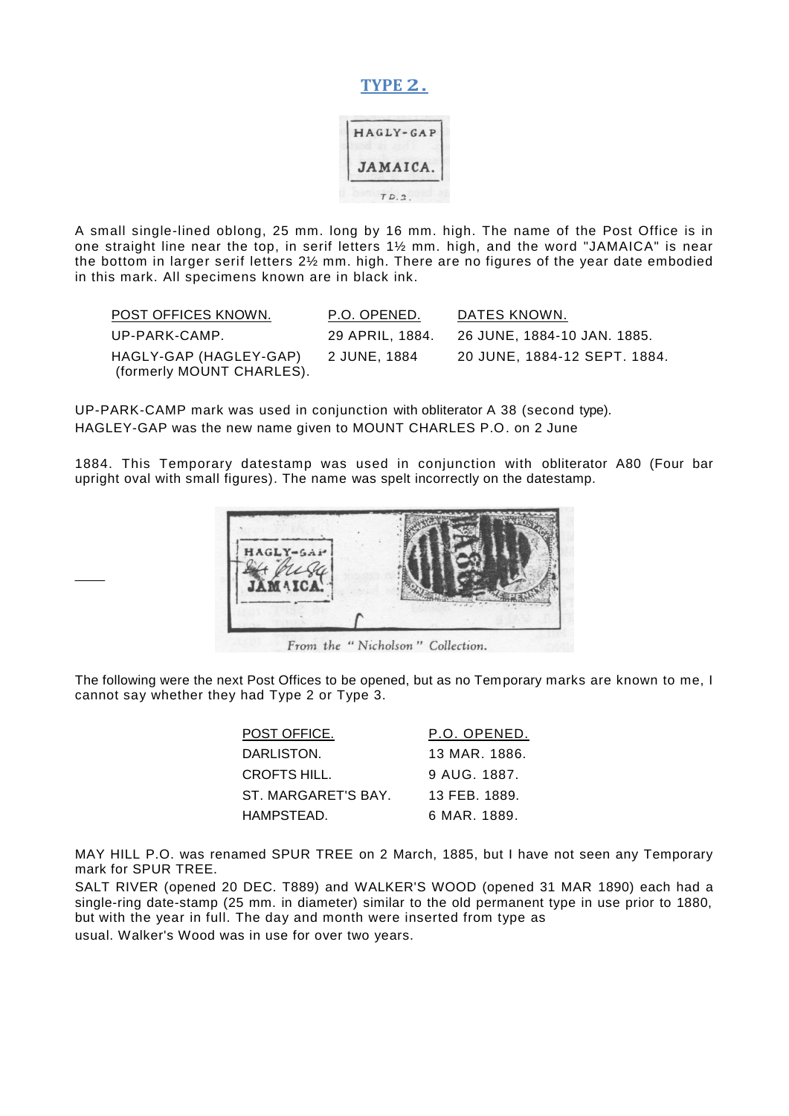#### **TYPE 2.**



A small single-lined oblong, 25 mm. long by 16 mm. high. The name of the Post Office is in one straight line near the top, in serif letters 1½ mm. high, and the word "JAMAICA" is near the bottom in larger serif letters 2½ mm. high. There are no figures of the year date embodied in this mark. All specimens known are in black ink.

| POST OFFICES KNOWN.                                 | P.O. OPENED.    | DATES KNOWN.                 |
|-----------------------------------------------------|-----------------|------------------------------|
| UP-PARK-CAMP.                                       | 29 APRIL, 1884. | 26 JUNE, 1884-10 JAN. 1885.  |
| HAGLY-GAP (HAGLEY-GAP)<br>(formerly MOUNT CHARLES). | 2 JUNE, 1884    | 20 JUNE, 1884-12 SEPT. 1884. |

UP-PARK-CAMP mark was used in conjunction with obliterator A 38 (second type). HAGLEY-GAP was the new name given to MOUNT CHARLES P.O. on 2 June

1884. This Temporary datestamp was used in conjunction with obliterator A80 (Four bar upright oval with small figures). The name was spelt incorrectly on the datestamp.



The following were the next Post Offices to be opened, but as no Temporary marks are known to me, I cannot say whether they had Type 2 or Type 3.

| POST OFFICE.        | P.O. OPENED.  |
|---------------------|---------------|
| DARLISTON.          | 13 MAR. 1886. |
| CROFTS HILL.        | 9 AUG 1887.   |
| ST. MARGARET'S BAY. | 13 FEB 1889.  |
| HAMPSTEAD.          | 6 MAR. 1889.  |

MAY HILL P.O. was renamed SPUR TREE on 2 March, 1885, but I have not seen any Temporary mark for SPUR TREE.

SALT RIVER (opened 20 DEC. T889) and WALKER'S WOOD (opened 31 MAR 1890) each had a single-ring date-stamp (25 mm. in diameter) similar to the old permanent type in use prior to 1880, but with the year in full. The day and month were inserted from type as usual. Walker's Wood was in use for over two years.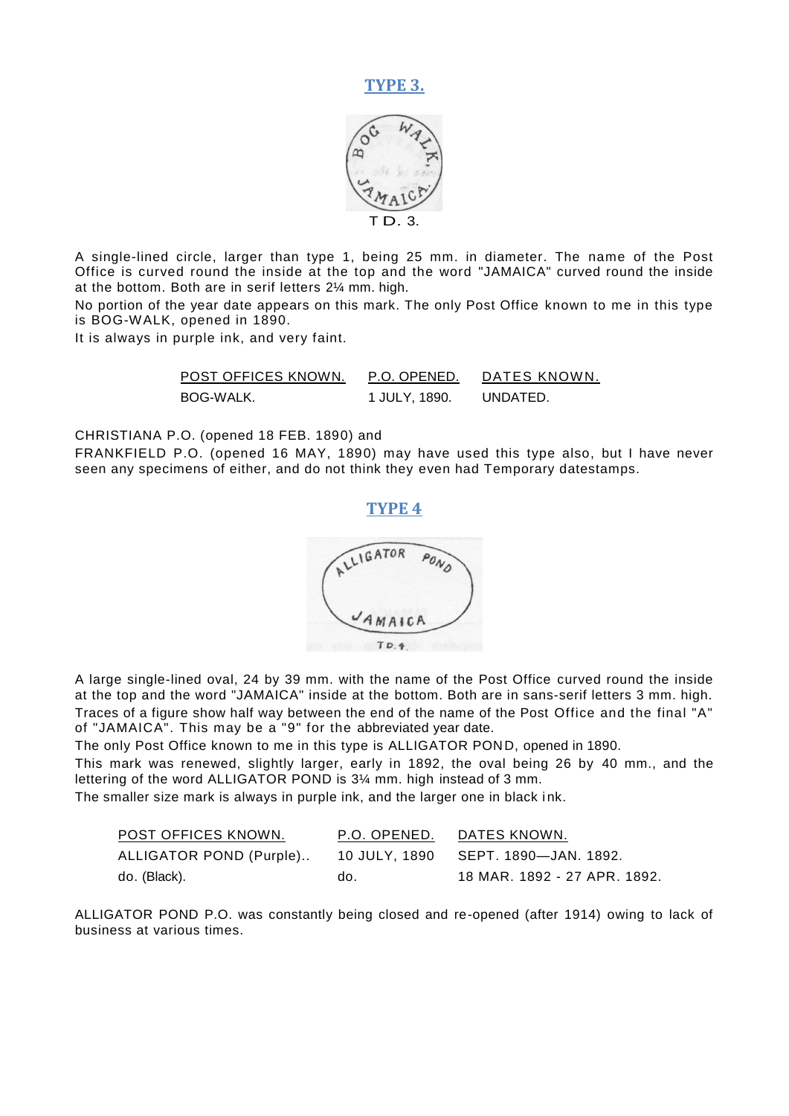



A single-lined circle, larger than type 1, being 25 mm. in diameter. The name of the Post Office is curved round the inside at the top and the word "JAMAICA" curved round the inside at the bottom. Both are in serif letters 2¼ mm. high.

No portion of the year date appears on this mark. The only Post Office known to me in this type is BOG-WALK, opened in 1890.

It is always in purple ink, and very faint.

| POST OFFICES KNOWN. | P.O. OPENED.  | DATES KNOWN. |
|---------------------|---------------|--------------|
| BOG-WALK.           | 1 JULY, 1890. | UNDATED.     |

CHRISTIANA P.O. (opened 18 FEB. 1890) and

FRANKFIELD P.O. (opened 16 MAY, 1890) may have used this type also, but I have never seen any specimens of either, and do not think they even had Temporary datestamps.





A large single-lined oval, 24 by 39 mm. with the name of the Post Office curved round the inside at the top and the word "JAMAICA" inside at the bottom. Both are in sans-serif letters 3 mm. high. Traces of a figure show half way between the end of the name of the Post Office and the final "A" of "JAMAICA". This may be a "9" for the abbreviated year date.

The only Post Office known to me in this type is ALLIGATOR POND, opened in 1890.

This mark was renewed, slightly larger, early in 1892, the oval being 26 by 40 mm., and the lettering of the word ALLIGATOR POND is 3¼ mm. high instead of 3 mm.

The smaller size mark is always in purple ink, and the larger one in black ink.

| POST OFFICES KNOWN.                                         | P.O. OPENED. | DATES KNOWN.                 |
|-------------------------------------------------------------|--------------|------------------------------|
| ALLIGATOR POND (Purple) 10 JULY, 1890 SEPT. 1890-JAN. 1892. |              |                              |
| do. (Black).                                                | do.          | 18 MAR. 1892 - 27 APR. 1892. |

ALLIGATOR POND P.O. was constantly being closed and re-opened (after 1914) owing to lack of business at various times.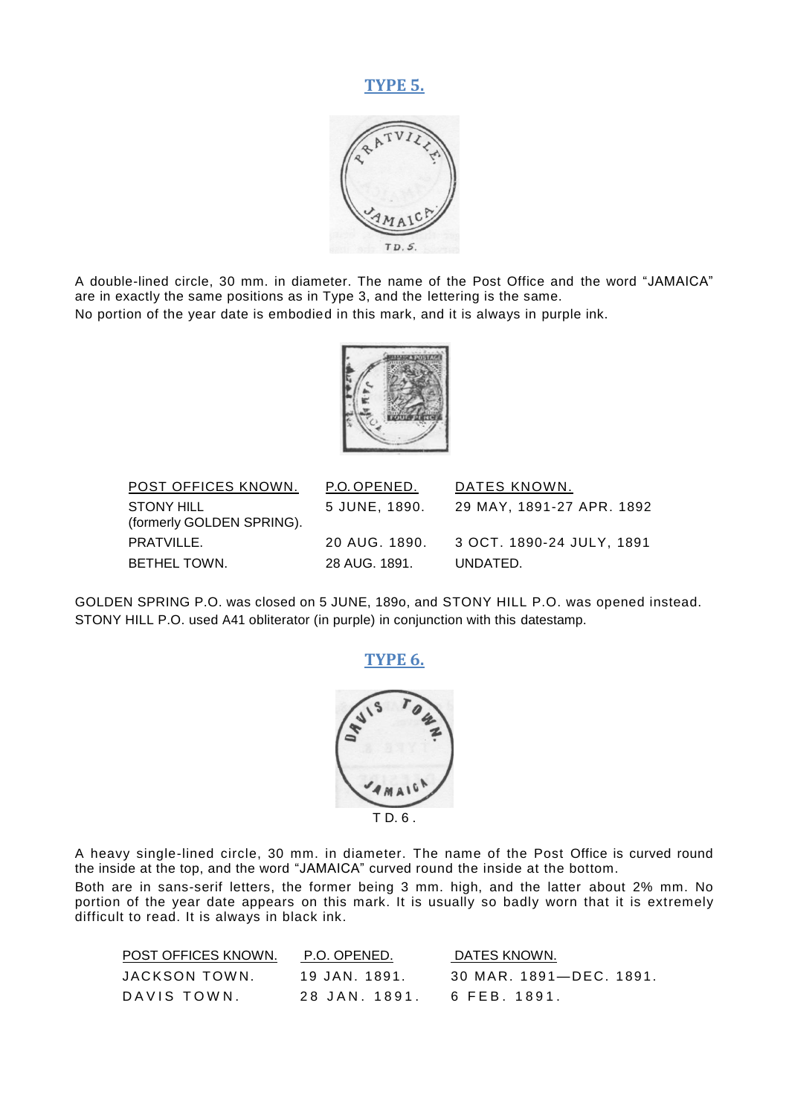#### **TYPE 5.**



A double-lined circle, 30 mm. in diameter. The name of the Post Office and the word "JAMAICA" are in exactly the same positions as in Type 3, and the lettering is the same. No portion of the year date is embodied in this mark, and it is always in purple ink.



| POST OFFICES KNOWN.                     | P.O. OPENED.  | DATES KNOWN.              |
|-----------------------------------------|---------------|---------------------------|
| STONY HILL<br>(formerly GOLDEN SPRING). | 5 JUNE, 1890. | 29 MAY. 1891-27 APR. 1892 |
| PRATVILLE.                              | 20 AUG. 1890. | 3 OCT. 1890-24 JULY. 1891 |
| BETHEL TOWN.                            | 28 AUG. 1891. | UNDATED.                  |

GOLDEN SPRING P.O. was closed on 5 JUNE, 189o, and STONY HILL P.O. was opened instead. STONY HILL P.O. used A41 obliterator (in purple) in conjunction with this datestamp.

#### **TYPE 6.**



A heavy single-lined circle, 30 mm. in diameter. The name of the Post Office is curved round the inside at the top, and the word "JAMAICA" curved round the inside at the bottom.

Both are in sans-serif letters, the former being 3 mm. high, and the latter about 2% mm. No portion of the year date appears on this mark. It is usually so badly worn that it is extremely difficult to read. It is always in black ink.

| POST OFFICES KNOWN. | P.O. OPENED.  | DATES KNOWN.            |
|---------------------|---------------|-------------------------|
| JACKSON TOWN.       | 19 JAN. 1891. | 30 MAR. 1891—DEC. 1891. |
| DAVIS TOWN.         | 28 JAN. 1891. | 6 FEB. 1891.            |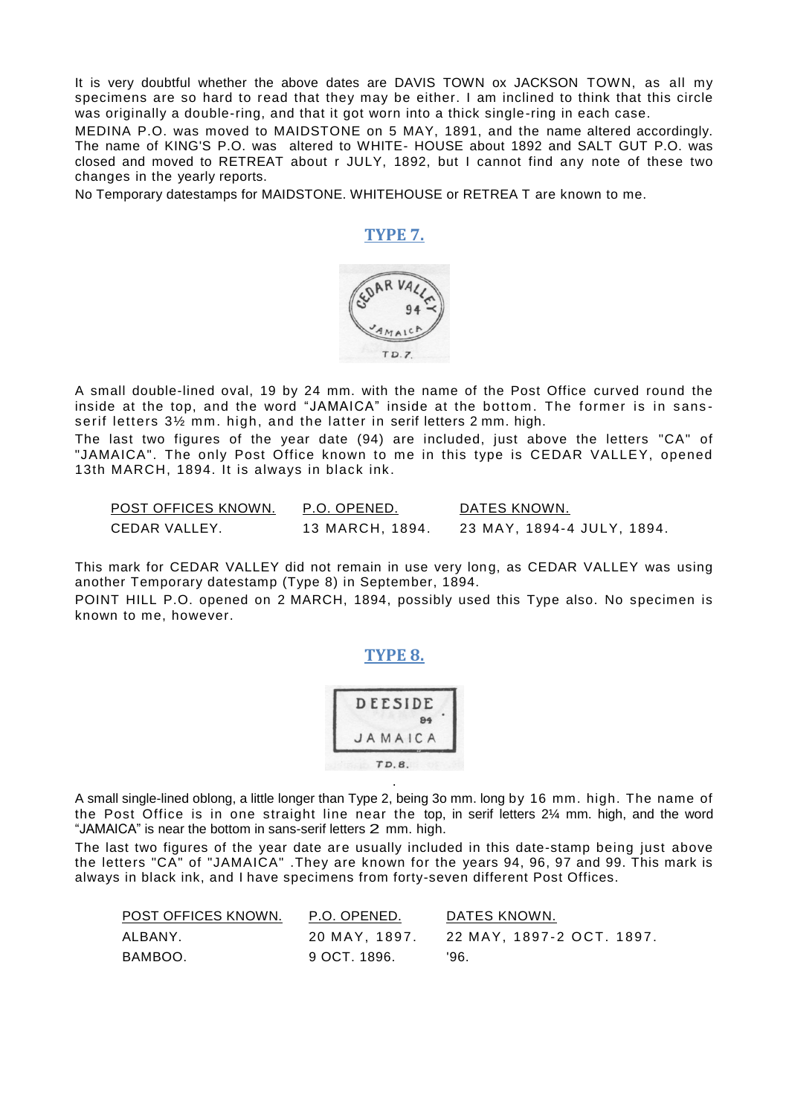It is very doubtful whether the above dates are DAVIS TOWN ox JACKSON TOWN, as all my specimens are so hard to read that they may be either. I am inclined to think that this circle was originally a double-ring, and that it got worn into a thick single-ring in each case.

MEDINA P.O. was moved to MAIDSTONE on 5 MAY, 1891, and the name altered accordingly. The name of KING'S P.O. was altered to WHITE- HOUSE about 1892 and SALT GUT P.O. was closed and moved to RETREAT about r JULY, 1892, but I cannot find any note of these two changes in the yearly reports.

No Temporary datestamps for MAIDSTONE. WHITEHOUSE or RETREA T are known to me.

#### **TYPE 7.**



A small double-lined oval, 19 by 24 mm. with the name of the Post Office curved round the inside at the top, and the word "JAMAICA" inside at the bottom. The former is in sansserif letters 3½ mm. high, and the latter in serif letters 2 mm. high.

The last two figures of the year date (94) are included, just above the letters "CA" of "JAMAICA". The only Post Office known to me in this type is CEDAR VALLEY, opened 13th MARCH, 1894. It is always in black ink.

| POST OFFICES KNOWN. | P.O. OPENED.    | DATES KNOWN.               |
|---------------------|-----------------|----------------------------|
| CEDAR VALLEY.       | 13 MARCH, 1894. | 23 MAY, 1894-4 JULY, 1894. |

This mark for CEDAR VALLEY did not remain in use very long, as CEDAR VALLEY was using another Temporary datestamp (Type 8) in September, 1894.

POINT HILL P.O. opened on 2 MARCH, 1894, possibly used this Type also. No specimen is known to me, however.

**TYPE 8.**

|         | 84 |
|---------|----|
| JAMAICA |    |

A small single-lined oblong, a little longer than Type 2, being 3o mm. long by 16 mm. high. The name of the Post Office is in one straight line near the top, in serif letters 2¼ mm. high, and the word "JAMAICA" is near the bottom in sans-serif letters 2 mm. high.

.

The last two figures of the year date are usually included in this date-stamp being just above the letters "CA" of "JAMAICA" .They are known for the years 94, 96, 97 and 99. This mark is always in black ink, and I have specimens from forty-seven different Post Offices.

| POST OFFICES KNOWN. | P.O. OPENED. | DATES KNOWN.                            |
|---------------------|--------------|-----------------------------------------|
| ALBANY.             |              | 20 MAY, 1897. 22 MAY, 1897-2 OCT. 1897. |
| BAMBOO.             | 9 OCT. 1896. | '96.                                    |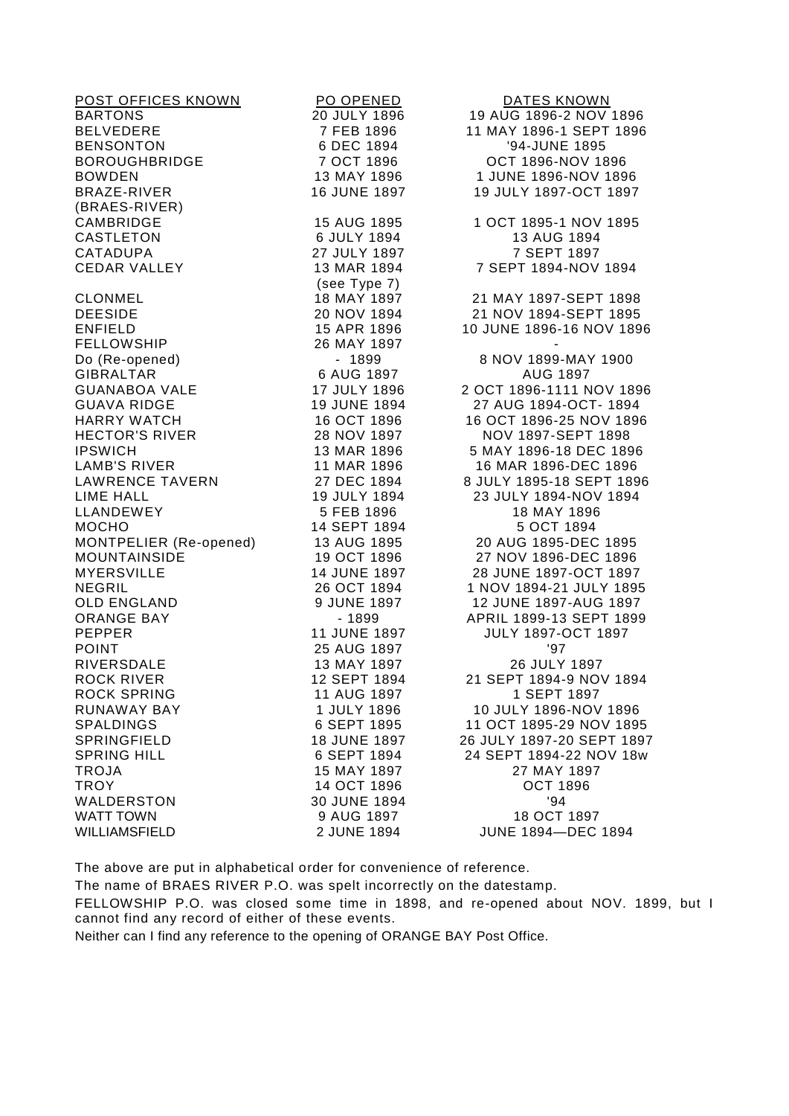| POST OFFICES KNOWN     | PO OPENED    | <b>DATES KNOWN</b>        |
|------------------------|--------------|---------------------------|
| <b>BARTONS</b>         | 20 JULY 1896 | 19 AUG 1896-2 NOV 1896    |
| <b>BELVEDERE</b>       | 7 FEB 1896   | 11 MAY 1896-1 SEPT 1896   |
| <b>BENSONTON</b>       | 6 DEC 1894   | '94-JUNE 1895             |
| <b>BOROUGHBRIDGE</b>   | 7 OCT 1896   | OCT 1896-NOV 1896         |
| <b>BOWDEN</b>          | 13 MAY 1896  | 1 JUNE 1896-NOV 1896      |
| <b>BRAZE-RIVER</b>     | 16 JUNE 1897 | 19 JULY 1897-OCT 1897     |
| (BRAES-RIVER)          |              |                           |
| CAMBRIDGE              | 15 AUG 1895  | 1 OCT 1895-1 NOV 1895     |
| <b>CASTLETON</b>       | 6 JULY 1894  | 13 AUG 1894               |
| CATADUPA               | 27 JULY 1897 | 7 SEPT 1897               |
| <b>CEDAR VALLEY</b>    | 13 MAR 1894  | 7 SEPT 1894-NOV 1894      |
|                        | (see Type 7) |                           |
| <b>CLONMEL</b>         | 18 MAY 1897  | 21 MAY 1897-SEPT 1898     |
| <b>DEESIDE</b>         | 20 NOV 1894  | 21 NOV 1894-SEPT 1895     |
| <b>ENFIELD</b>         | 15 APR 1896  | 10 JUNE 1896-16 NOV 1896  |
| <b>FELLOWSHIP</b>      | 26 MAY 1897  |                           |
| Do (Re-opened)         | $-1899$      | 8 NOV 1899-MAY 1900       |
| <b>GIBRALTAR</b>       | 6 AUG 1897   | <b>AUG 1897</b>           |
| <b>GUANABOA VALE</b>   | 17 JULY 1896 | 2 OCT 1896-1111 NOV 1896  |
| <b>GUAVA RIDGE</b>     | 19 JUNE 1894 | 27 AUG 1894-OCT- 1894     |
| <b>HARRY WATCH</b>     | 16 OCT 1896  | 16 OCT 1896-25 NOV 1896   |
| <b>HECTOR'S RIVER</b>  | 28 NOV 1897  | NOV 1897-SEPT 1898        |
| <b>IPSWICH</b>         | 13 MAR 1896  | 5 MAY 1896-18 DEC 1896    |
| <b>LAMB'S RIVER</b>    | 11 MAR 1896  | 16 MAR 1896-DEC 1896      |
| LAWRENCE TAVERN        | 27 DEC 1894  | 8 JULY 1895-18 SEPT 1896  |
| LIME HALL              | 19 JULY 1894 | 23 JULY 1894-NOV 1894     |
| LLANDEWEY              | 5 FEB 1896   | 18 MAY 1896               |
| <b>MOCHO</b>           | 14 SEPT 1894 | 5 OCT 1894                |
| MONTPELIER (Re-opened) | 13 AUG 1895  | 20 AUG 1895-DEC 1895      |
| <b>MOUNTAINSIDE</b>    | 19 OCT 1896  | 27 NOV 1896-DEC 1896      |
| <b>MYERSVILLE</b>      | 14 JUNE 1897 | 28 JUNE 1897-OCT 1897     |
| <b>NEGRIL</b>          | 26 OCT 1894  | 1 NOV 1894-21 JULY 1895   |
| <b>OLD ENGLAND</b>     | 9 JUNE 1897  | 12 JUNE 1897-AUG 1897     |
| ORANGE BAY             | $-1899$      | APRIL 1899-13 SEPT 1899   |
| <b>PEPPER</b>          | 11 JUNE 1897 | <b>JULY 1897-OCT 1897</b> |
| <b>POINT</b>           | 25 AUG 1897  | '97                       |
| RIVERSDALE             | 13 MAY 1897  | 26 JULY 1897              |
| <b>ROCK RIVER</b>      | 12 SEPT 1894 | 21 SEPT 1894-9 NOV 1894   |
| <b>ROCK SPRING</b>     | 11 AUG 1897  | 1 SEPT 1897               |
| <b>RUNAWAY BAY</b>     | 1 JULY 1896  | 10 JULY 1896-NOV 1896     |
| <b>SPALDINGS</b>       | 6 SEPT 1895  | 11 OCT 1895-29 NOV 1895   |
| <b>SPRINGFIELD</b>     | 18 JUNE 1897 | 26 JULY 1897-20 SEPT 1897 |
| <b>SPRING HILL</b>     | 6 SEPT 1894  | 24 SEPT 1894-22 NOV 18w   |
| <b>TROJA</b>           | 15 MAY 1897  | 27 MAY 1897               |
| <b>TROY</b>            | 14 OCT 1896  | <b>OCT 1896</b>           |
| WALDERSTON             | 30 JUNE 1894 | '94                       |
| <b>WATT TOWN</b>       | 9 AUG 1897   | 18 OCT 1897               |
| WILLIAMSFIELD          | 2 JUNE 1894  | <b>JUNE 1894-DEC 1894</b> |
|                        |              |                           |

The above are put in alphabetical order for convenience of reference.

The name of BRAES RIVER P.O. was spelt incorrectly on the datestamp.

FELLOWSHIP P.O. was closed some time in 1898, and re-opened about NOV. 1899, but I cannot find any record of either of these events.

Neither can I find any reference to the opening of ORANGE BAY Post Office.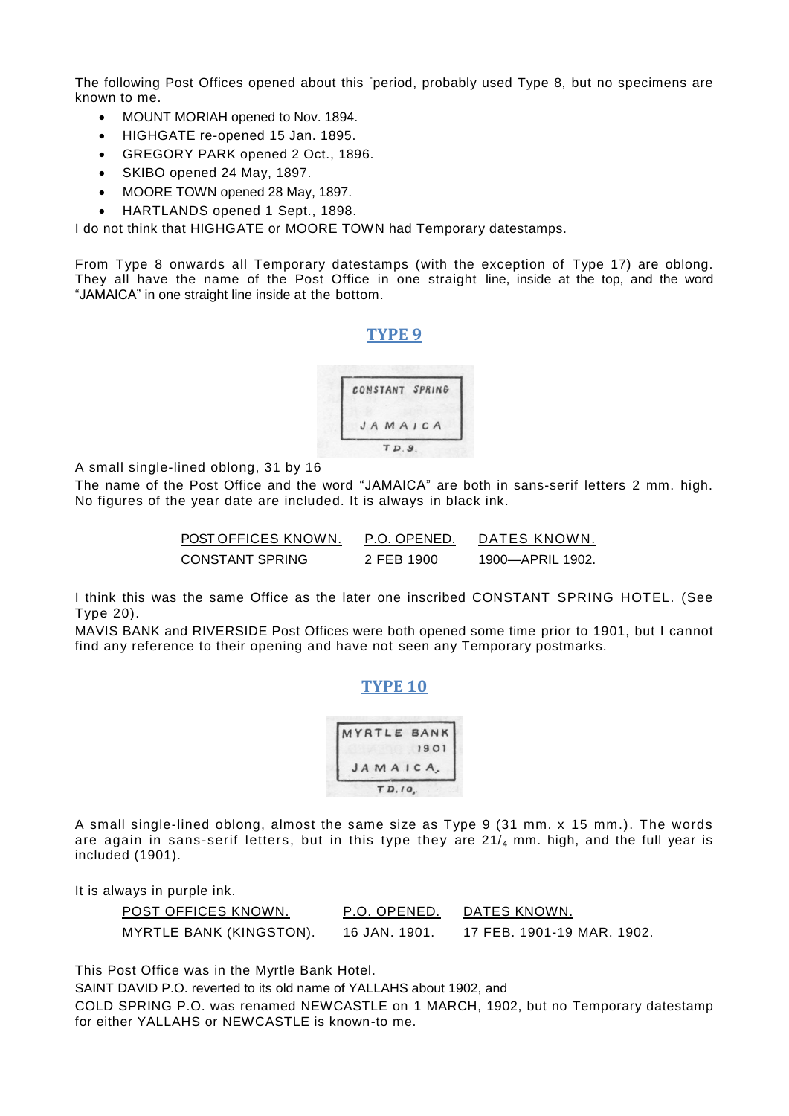The following Post Offices opened about this period, probably used Type 8, but no specimens are known to me.

- MOUNT MORIAH opened to Nov. 1894.
- HIGHGATE re-opened 15 Jan. 1895.
- GREGORY PARK opened 2 Oct., 1896.
- SKIBO opened 24 May, 1897.
- MOORE TOWN opened 28 May, 1897.
- HARTLANDS opened 1 Sept., 1898.

I do not think that HIGHGATE or MOORE TOWN had Temporary datestamps.

From Type 8 onwards all Temporary datestamps (with the exception of Type 17) are oblong. They all have the name of the Post Office in one straight line, inside at the top, and the word "JAMAICA" in one straight line inside at the bottom.

**TYPE 9**



A small single-lined oblong, 31 by 16

The name of the Post Office and the word "JAMAICA" are both in sans-serif letters 2 mm. high. No figures of the year date are included. It is always in black ink.

| POST OFFICES KNOWN. | P.O. OPENED. | DATES KNOWN.     |
|---------------------|--------------|------------------|
| CONSTANT SPRING     | 2 FEB 1900   | 1900—APRIL 1902. |

I think this was the same Office as the later one inscribed CONSTANT SPRING HOTEL. (See Type 20).

MAVIS BANK and RIVERSIDE Post Offices were both opened some time prior to 1901, but I cannot find any reference to their opening and have not seen any Temporary postmarks.

#### **TYPE 10**

|          | MYRTLE BANK |
|----------|-------------|
|          | 1901        |
| JAMAICA. |             |

A small single-lined oblong, almost the same size as Type 9 (31 mm. x 15 mm.). The words are again in sans-serif letters, but in this type they are  $21/4$  mm. high, and the full year is included (1901).

It is always in purple ink.

| POST OFFICES KNOWN.     | P.O. OPENED.  | DATES KNOWN.               |
|-------------------------|---------------|----------------------------|
| MYRTLE BANK (KINGSTON). | 16 JAN. 1901. | 17 FEB. 1901-19 MAR. 1902. |

This Post Office was in the Myrtle Bank Hotel.

SAINT DAVID P.O. reverted to its old name of YALLAHS about 1902, and

COLD SPRING P.O. was renamed NEWCASTLE on 1 MARCH, 1902, but no Temporary datestamp for either YALLAHS or NEWCASTLE is known-to me.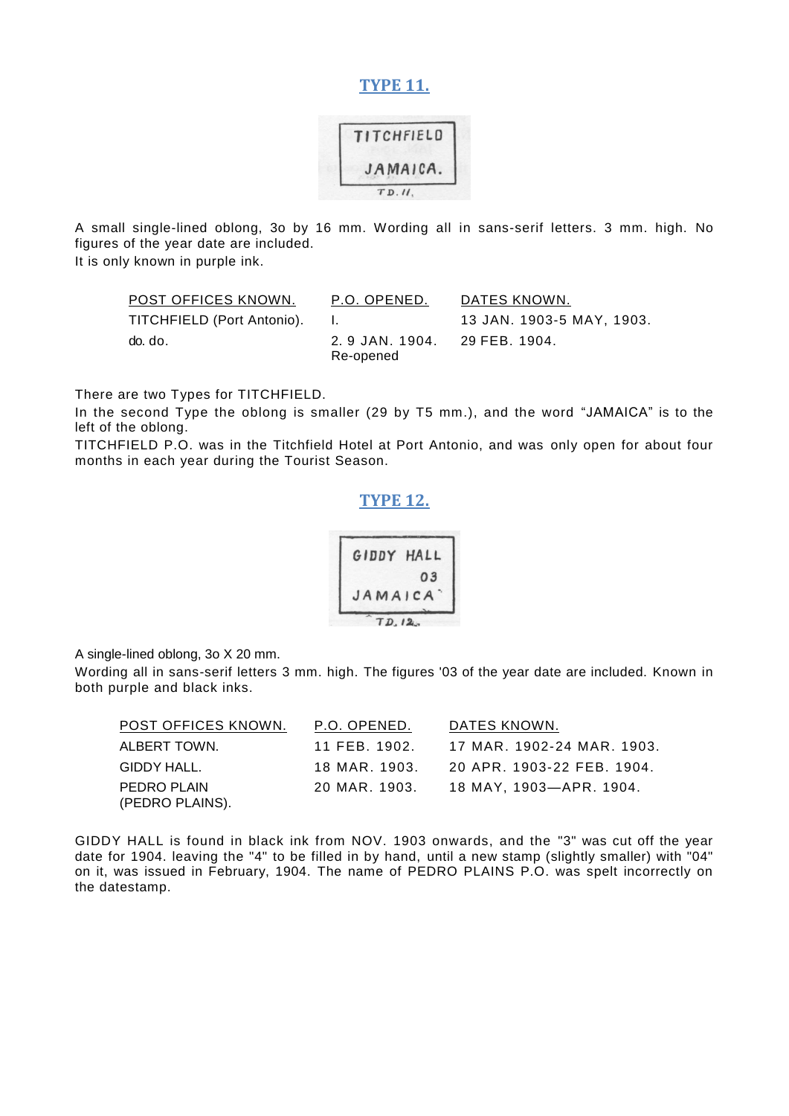#### **TYPE 11.**



A small single-lined oblong, 3o by 16 mm. Wording all in sans-serif letters. 3 mm. high. No figures of the year date are included.

It is only known in purple ink.

| POST OFFICES KNOWN.        | P.O. OPENED.                              | DATES KNOWN.              |
|----------------------------|-------------------------------------------|---------------------------|
| TITCHFIELD (Port Antonio). | and the contract                          | 13 JAN. 1903-5 MAY, 1903. |
| do. do.                    | 2.9 JAN. 1904. 29 FEB. 1904.<br>Re-opened |                           |

There are two Types for TITCHFIELD.

In the second Type the oblong is smaller (29 by T5 mm.), and the word "JAMAICA" is to the left of the oblong.

TITCHFIELD P.O. was in the Titchfield Hotel at Port Antonio, and was only open for about four months in each year during the Tourist Season.

#### **TYPE 12.**

| GIDDY HALL |       |
|------------|-------|
|            | 03    |
| JAMAICA    |       |
|            | D, 12 |

A single-lined oblong, 3o X 20 mm.

Wording all in sans-serif letters 3 mm. high. The figures '03 of the year date are included. Known in both purple and black inks.

| POST OFFICES KNOWN.            | P.O. OPENED.  | DATES KNOWN.               |
|--------------------------------|---------------|----------------------------|
| ALBERT TOWN.                   | 11 FEB 1902.  | 17 MAR. 1902-24 MAR. 1903. |
| GIDDY HALL.                    | 18 MAR. 1903. | 20 APR. 1903-22 FEB. 1904. |
| PEDRO PLAIN<br>(PEDRO PLAINS). | 20 MAR. 1903. | 18 MAY, 1903—APR. 1904.    |

GIDDY HALL is found in black ink from NOV. 1903 onwards, and the "3" was cut off the year date for 1904. leaving the "4" to be filled in by hand, until a new stamp (slightly smaller) with "04" on it, was issued in February, 1904. The name of PEDRO PLAINS P.O. was spelt incorrectly on the datestamp.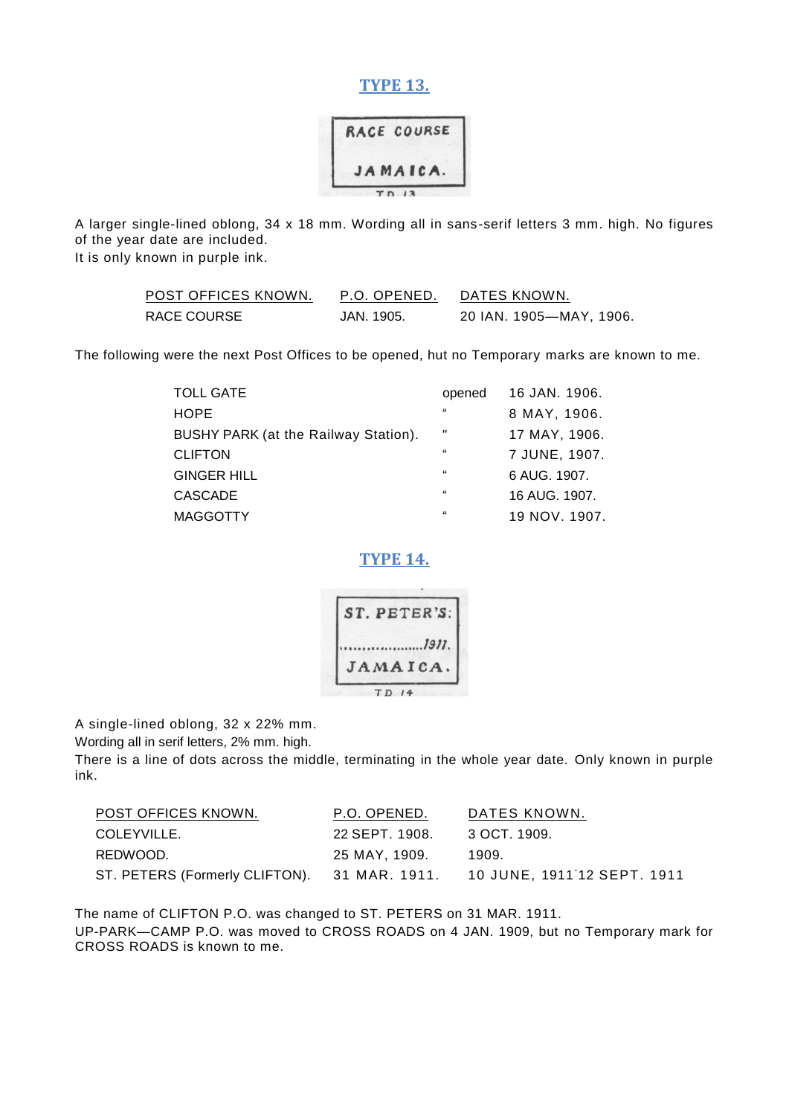#### **TYPE 13.**



A larger single-lined oblong, 34 x 18 mm. Wording all in sans-serif letters 3 mm. high. No figures of the year date are included.

It is only known in purple ink.

| POST OFFICES KNOWN. | P.O. OPENED. | DATES KNOWN.            |
|---------------------|--------------|-------------------------|
| RACE COURSE         | JAN. 1905.   | 20 IAN. 1905—MAY, 1906. |

The following were the next Post Offices to be opened, hut no Temporary marks are known to me.

| <b>TOLL GATE</b>                     | opened             | 16 JAN. 1906. |
|--------------------------------------|--------------------|---------------|
| <b>HOPE</b>                          | $\epsilon\epsilon$ | 8 MAY, 1906.  |
| BUSHY PARK (at the Railway Station). | Ш                  | 17 MAY, 1906. |
| <b>CLIFTON</b>                       | $\epsilon$         | 7 JUNE, 1907. |
| <b>GINGER HILL</b>                   | $\epsilon$         | 6 AUG. 1907.  |
| <b>CASCADE</b>                       | 66                 | 16 AUG. 1907. |
| <b>MAGGOTTY</b>                      | 66                 | 19 NOV. 1907. |

**TYPE 14.**



A single-lined oblong, 32 x 22% mm.

Wording all in serif letters, 2% mm. high.

There is a line of dots across the middle, terminating in the whole year date. Only known in purple ink.

| POST OFFICES KNOWN.                          | P.O. OPENED.   | DATES KNOWN.                |
|----------------------------------------------|----------------|-----------------------------|
| COLEYVILLE.                                  | 22 SEPT. 1908. | 3 OCT. 1909.                |
| REDWOOD.                                     | 25 MAY. 1909.  | 1909.                       |
| ST. PETERS (Formerly CLIFTON). 31 MAR. 1911. |                | 10 JUNE, 1911 12 SEPT. 1911 |

The name of CLIFTON P.O. was changed to ST. PETERS on 31 MAR. 1911. UP-PARK—CAMP P.O. was moved to CROSS ROADS on 4 JAN. 1909, but no Temporary mark for CROSS ROADS is known to me.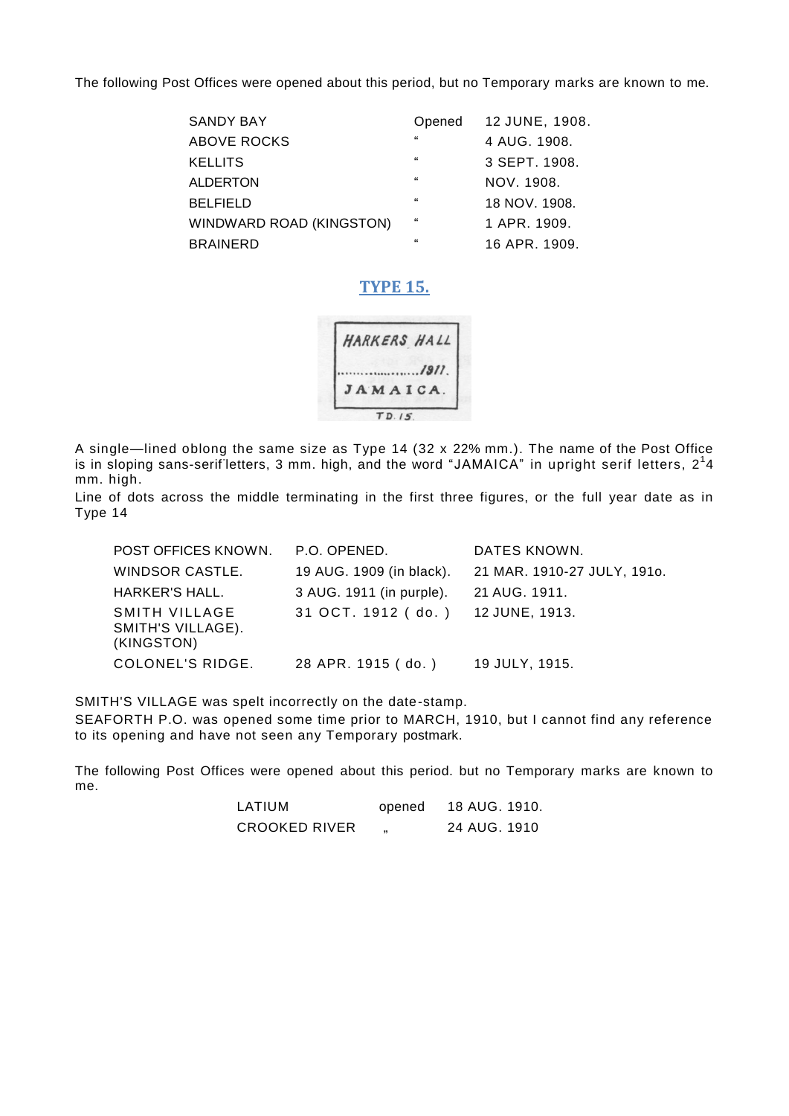The following Post Offices were opened about this period, but no Temporary marks are known to me.

| <b>SANDY BAY</b>         | Opened  | 12 JUNE, 1908. |
|--------------------------|---------|----------------|
| ABOVE ROCKS              | 66      | 4 AUG. 1908.   |
| <b>KELLITS</b>           | $^{66}$ | 3 SEPT. 1908.  |
| <b>ALDERTON</b>          | 66      | NOV. 1908.     |
| <b>BELFIELD</b>          | $^{66}$ | 18 NOV. 1908.  |
| WINDWARD ROAD (KINGSTON) | $^{66}$ | 1 APR. 1909.   |
| <b>BRAINERD</b>          | $^{16}$ | 16 APR. 1909.  |

#### **TYPE 15.**



A single—lined oblong the same size as Type 14 (32 x 22% mm.). The name of the Post Office is in sloping sans-serifletters, 3 mm. high, and the word "JAMAICA" in upright serif letters, 2<sup>1</sup>4 mm. high.

Line of dots across the middle terminating in the first three figures, or the full year date as in Type 14

| POST OFFICES KNOWN.                              | P.O. OPENED.             | DATES KNOWN.                |
|--------------------------------------------------|--------------------------|-----------------------------|
| WINDSOR CASTLE.                                  | 19 AUG. 1909 (in black). | 21 MAR. 1910-27 JULY, 1910. |
| HARKER'S HALL.                                   | 3 AUG. 1911 (in purple). | 21 AUG. 1911.               |
| SMITH VILLAGE<br>SMITH'S VILLAGE).<br>(KINGSTON) | 31 OCT. 1912 (do.)       | 12 JUNE, 1913.              |
| COLONEL'S RIDGE.                                 | 28 APR. 1915 (do.)       | 19 JULY, 1915.              |

SMITH'S VILLAGE was spelt incorrectly on the date-stamp.

SEAFORTH P.O. was opened some time prior to MARCH, 1910, but I cannot find any reference to its opening and have not seen any Temporary postmark.

The following Post Offices were opened about this period. but no Temporary marks are known to me.

| LATIUM               | opened | 18 AUG. 1910. |
|----------------------|--------|---------------|
| <b>CROOKED RIVER</b> |        | 24 AUG. 1910  |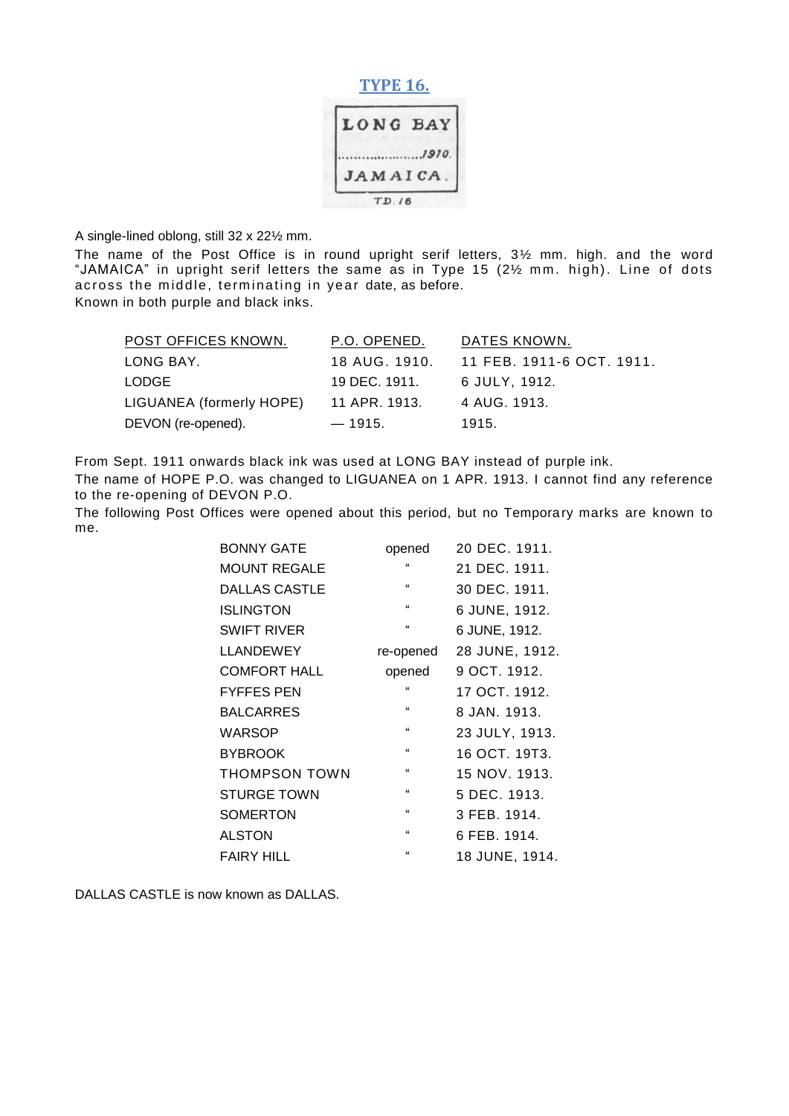#### **TYPE 16.**



A single-lined oblong, still 32 x 22½ mm.

The name of the Post Office is in round upright serif letters, 3½ mm. high. and the word "JAMAICA" in upright serif letters the same as in Type 15 (21/2 mm. high). Line of dots across the middle, terminating in year date, as before. Known in both purple and black inks.

| POST OFFICES KNOWN.      | P.O. OPENED.  | DATES KNOWN.              |
|--------------------------|---------------|---------------------------|
| LONG BAY.                | 18 AUG. 1910. | 11 FEB. 1911-6 OCT. 1911. |
| LODGE                    | 19 DEC. 1911. | 6 JULY. 1912.             |
| LIGUANEA (formerly HOPE) | 11 APR. 1913. | 4 AUG. 1913.              |
| DEVON (re-opened).       | $-1915.$      | 1915.                     |

From Sept. 1911 onwards black ink was used at LONG BAY instead of purple ink.

The name of HOPE P.O. was changed to LIGUANEA on 1 APR. 1913. I cannot find any reference to the re-opening of DEVON P.O.

The following Post Offices were opened about this period, but no Temporary marks are known to me.

| <b>BONNY GATE</b>    | opened             | 20 DEC. 1911.  |
|----------------------|--------------------|----------------|
| <b>MOUNT REGALE</b>  | $\epsilon$         | 21 DEC. 1911.  |
| <b>DALLAS CASTLE</b> | $\epsilon\epsilon$ | 30 DEC. 1911.  |
| <b>ISLINGTON</b>     | $\epsilon\epsilon$ | 6 JUNE, 1912.  |
| <b>SWIFT RIVER</b>   | $\alpha$           | 6 JUNE, 1912.  |
| <b>LLANDEWEY</b>     | re-opened          | 28 JUNE, 1912. |
| <b>COMFORT HALL</b>  | opened             | 9 OCT. 1912.   |
| <b>FYFFES PEN</b>    | $\epsilon$         | 17 OCT. 1912.  |
| <b>BALCARRES</b>     | $\epsilon$         | 8 JAN. 1913.   |
| WARSOP               | $\epsilon$         | 23 JULY, 1913. |
| <b>BYBROOK</b>       | $\epsilon\epsilon$ | 16 OCT. 19T3.  |
| <b>THOMPSON TOWN</b> | $\epsilon\epsilon$ | 15 NOV. 1913.  |
| <b>STURGE TOWN</b>   | $\epsilon$         | 5 DEC. 1913.   |
| <b>SOMERTON</b>      | $\epsilon$         | 3 FEB, 1914.   |
| <b>ALSTON</b>        | $\epsilon$         | 6 FEB. 1914.   |
| FAIRY HILL           | $\epsilon$         | 18 JUNE, 1914. |

DALLAS CASTLE is now known as DALLAS.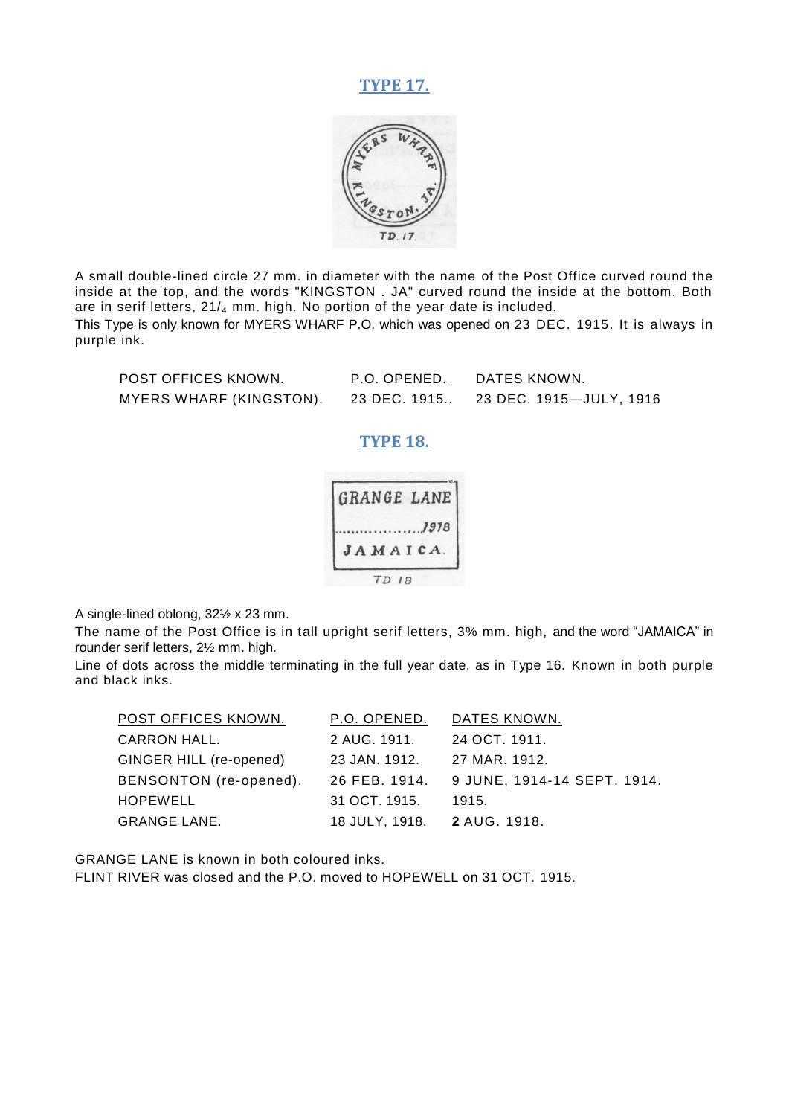#### **TYPE 17.**



A small double-lined circle 27 mm. in diameter with the name of the Post Office curved round the inside at the top, and the words "KINGSTON . JA" curved round the inside at the bottom. Both are in serif letters,  $21/4$  mm. high. No portion of the year date is included.

This Type is only known for MYERS WHARF P.O. which was opened on 23 DEC. 1915. It is always in purple ink.

| POST OFFICES KNOWN.     | P.O. OPENED. | DATES KNOWN.            |
|-------------------------|--------------|-------------------------|
| MYERS WHARF (KINGSTON). | 23 DEC. 1915 | 23 DEC. 1915—JULY, 1916 |

#### **TYPE 18.**



A single-lined oblong, 32½ x 23 mm.

The name of the Post Office is in tall upright serif letters, 3% mm. high, and the word "JAMAICA" in rounder serif letters, 2½ mm. high.

Line of dots across the middle terminating in the full year date, as in Type 16. Known in both purple and black inks.

| POST OFFICES KNOWN.     | P.O. OPENED.                | DATES KNOWN.                              |
|-------------------------|-----------------------------|-------------------------------------------|
| <b>CARRON HALL.</b>     | 2 AUG. 1911.                | 24 OCT. 1911.                             |
| GINGER HILL (re-opened) | 23 JAN. 1912.               | 27 MAR. 1912.                             |
| BENSONTON (re-opened).  |                             | 26 FEB. 1914. 9 JUNE, 1914-14 SEPT. 1914. |
| HOPEWELL                | 31 OCT. 1915.               | 1915.                                     |
| <b>GRANGE LANE.</b>     | 18 JULY, 1918. 2 AUG. 1918. |                                           |

GRANGE LANE is known in both coloured inks.

FLINT RIVER was closed and the P.O. moved to HOPEWELL on 31 OCT. 1915.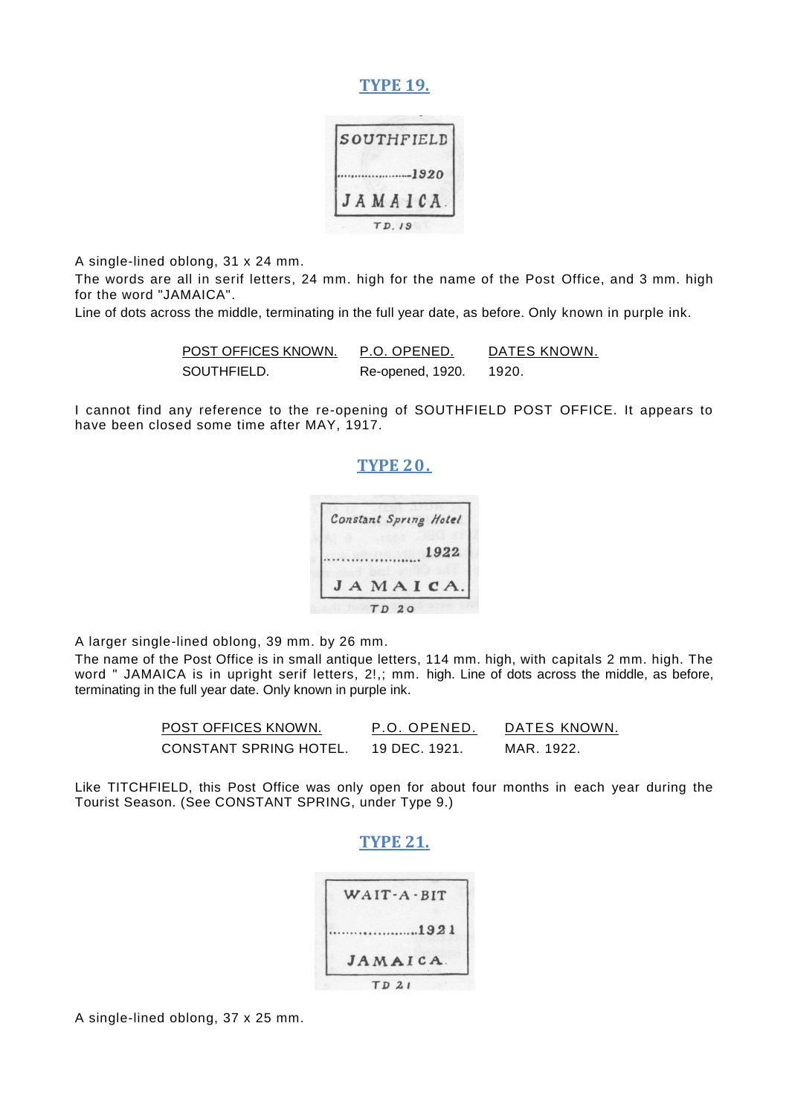#### **TYPE 19.**

|  |  | SOUTHFIELD |
|--|--|------------|
|  |  | --1920     |
|  |  | JAMAICA    |

A single-lined oblong, 31 x 24 mm.

The words are all in serif letters, 24 mm. high for the name of the Post Office, and 3 mm. high for the word "JAMAICA".

Line of dots across the middle, terminating in the full year date, as before. Only known in purple ink.

| POST OFFICES KNOWN. | P.O. OPENED.     | DATES KNOWN. |
|---------------------|------------------|--------------|
| SOUTHFIELD.         | Re-opened, 1920. | - 1920.      |

I cannot find any reference to the re-opening of SOUTHFIELD POST OFFICE. It appears to have been closed some time after MAY, 1917.

#### **TYPE 20.**



A larger single-lined oblong, 39 mm. by 26 mm.

The name of the Post Office is in small antique letters, 114 mm. high, with capitals 2 mm. high. The word " JAMAICA is in upright serif letters, 2!,; mm. high. Line of dots across the middle, as before, terminating in the full year date. Only known in purple ink.

| POST OFFICES KNOWN.    | P.O. OPENED.  | DATES KNOWN. |
|------------------------|---------------|--------------|
| CONSTANT SPRING HOTEL. | 19 DEC. 1921. | MAR 1922.    |

Like TITCHFIELD, this Post Office was only open for about four months in each year during the Tourist Season. (See CONSTANT SPRING, under Type 9.)

#### **TYPE 21.**

| 1921     |
|----------|
| JAMAICA. |

A single-lined oblong, 37 x 25 mm.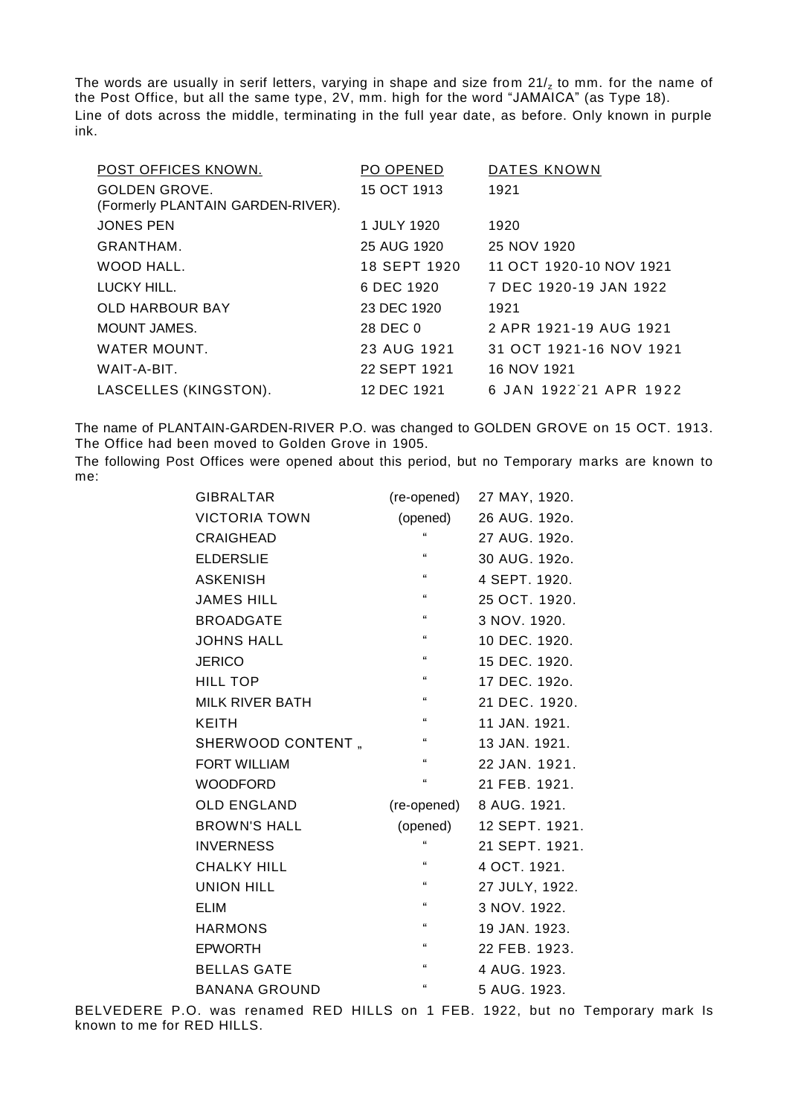The words are usually in serif letters, varying in shape and size from  $21/z$  to mm. for the name of the Post Office, but all the same type,  $2V$ , mm. high for the word "JAMAICA" (as Type 18). Line of dots across the middle, terminating in the full year date, as before. Only known in purple ink.

| POST OFFICES KNOWN.               | PO OPENED    | DATES KNOWN             |
|-----------------------------------|--------------|-------------------------|
| <b>GOLDEN GROVE.</b>              | 15 OCT 1913  | 1921                    |
| (Formerly PLANTAIN GARDEN-RIVER). |              |                         |
| <b>JONES PEN</b>                  | 1 JULY 1920  | 1920                    |
| GRANTHAM.                         | 25 AUG 1920  | 25 NOV 1920             |
| WOOD HALL.                        | 18 SEPT 1920 | 11 OCT 1920-10 NOV 1921 |
| LUCKY HILL.                       | 6 DEC 1920   | 7 DEC 1920-19 JAN 1922  |
| <b>OLD HARBOUR BAY</b>            | 23 DEC 1920  | 1921                    |
| MOUNT JAMES.                      | 28 DEC 0     | 2 APR 1921-19 AUG 1921  |
| WATER MOUNT.                      | 23 AUG 1921  | 31 OCT 1921-16 NOV 1921 |
| WAIT-A-BIT.                       | 22 SEPT 1921 | 16 NOV 1921             |
| LASCELLES (KINGSTON).             | 12 DEC 1921  | 6 JAN 1922 21 APR 1922  |

The name of PLANTAIN-GARDEN-RIVER P.O. was changed to GOLDEN GROVE on 15 OCT. 1913. The Office had been moved to Golden Grove in 1905.

The following Post Offices were opened about this period, but no Temporary marks are known to me:

| <b>GIBRALTAR</b>       | (re-opened)  | 27 MAY, 1920.  |
|------------------------|--------------|----------------|
| <b>VICTORIA TOWN</b>   | (opened)     | 26 AUG. 1920.  |
| CRAIGHEAD              | $\mathbf{G}$ | 27 AUG. 1920.  |
| <b>ELDERSLIE</b>       | $\mathbf{G}$ | 30 AUG. 1920.  |
| <b>ASKENISH</b>        | $\mathbf{G}$ | 4 SEPT. 1920.  |
| <b>JAMES HILL</b>      | $\epsilon$   | 25 OCT. 1920.  |
| <b>BROADGATE</b>       | $\mathbf{G}$ | 3 NOV. 1920.   |
| <b>JOHNS HALL</b>      | $\epsilon$   | 10 DEC. 1920.  |
| <b>JERICO</b>          | $\mathbf{G}$ | 15 DEC. 1920.  |
| <b>HILL TOP</b>        | $\epsilon$   | 17 DEC. 1920.  |
| <b>MILK RIVER BATH</b> | $\epsilon$   | 21 DEC. 1920.  |
| KEITH                  | $\mathbf{G}$ | 11 JAN. 1921.  |
| SHERWOOD CONTENT,      | $\epsilon$   | 13 JAN. 1921.  |
| <b>FORT WILLIAM</b>    | $\mathbf{G}$ | 22 JAN. 1921.  |
| <b>WOODFORD</b>        | $\epsilon$   | 21 FEB. 1921.  |
| <b>OLD ENGLAND</b>     | (re-opened)  | 8 AUG. 1921.   |
| <b>BROWN'S HALL</b>    | (opened)     | 12 SEPT. 1921. |
| <b>INVERNESS</b>       | $\epsilon$   | 21 SEPT. 1921. |
| <b>CHALKY HILL</b>     | $\epsilon$   | 4 OCT. 1921.   |
| <b>UNION HILL</b>      | $\epsilon$   | 27 JULY, 1922. |
| <b>ELIM</b>            | $\mathbf{G}$ | 3 NOV. 1922.   |
| <b>HARMONS</b>         | $\epsilon$   | 19 JAN. 1923.  |
| <b>EPWORTH</b>         | $\mathbf{G}$ | 22 FEB. 1923.  |
| <b>BELLAS GATE</b>     | $\epsilon$   | 4 AUG. 1923.   |
| <b>BANANA GROUND</b>   | $\mathbf{G}$ | 5 AUG. 1923.   |

BELVEDERE P.O. was renamed RED HILLS on 1 FEB. 1922, but no Temporary mark Is known to me for RED HILLS.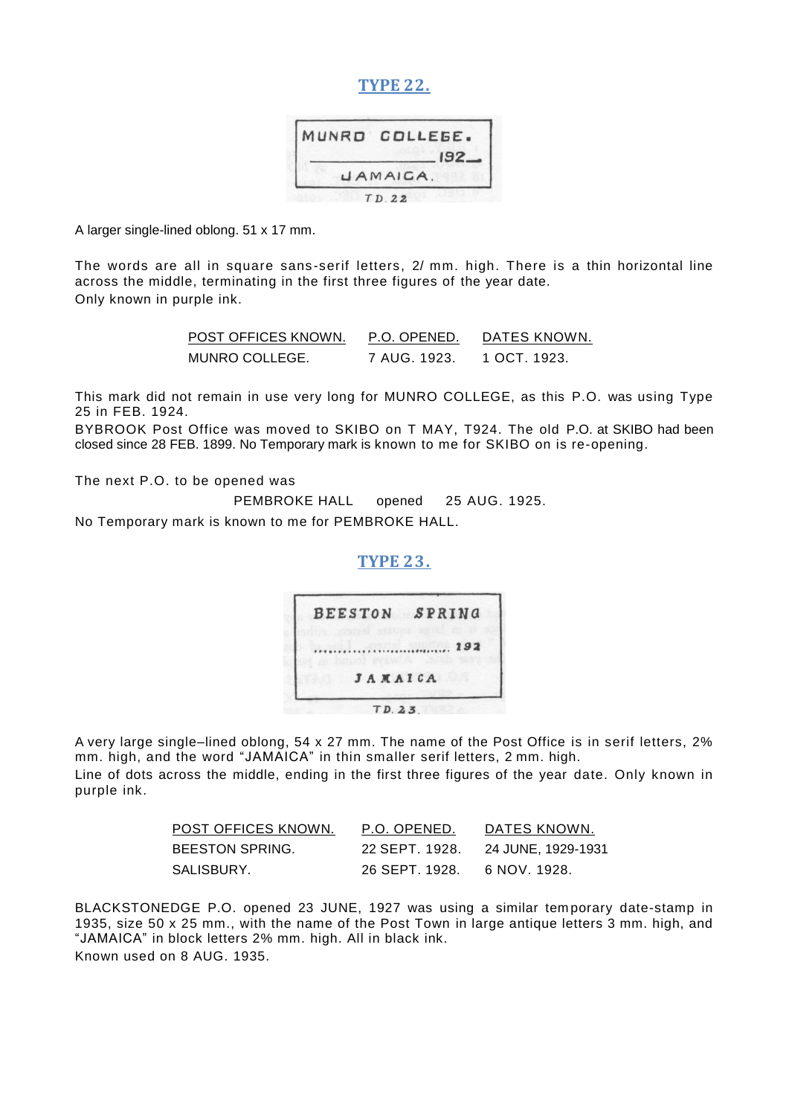#### **TYPE 22.**

| MUNRO COLLEGE.             |
|----------------------------|
| $192 -$<br><b>UAMAICA.</b> |
| TD.22                      |

A larger single-lined oblong. 51 x 17 mm.

The words are all in square sans-serif letters, 2/ mm. high. There is a thin horizontal line across the middle, terminating in the first three figures of the year date. Only known in purple ink.

| POST OFFICES KNOWN. | P.O. OPENED. | DATES KNOWN. |
|---------------------|--------------|--------------|
| MUNRO COLLEGE.      | 7 AUG. 1923. | 1 OCT. 1923. |

This mark did not remain in use very long for MUNRO COLLEGE, as this P.O. was using Type 25 in FEB. 1924.

BYBROOK Post Office was moved to SKIBO on T MAY, T924. The old P.O. at SKIBO had been closed since 28 FEB. 1899. No Temporary mark is known to me for SKIBO on is re-opening.

The next P.O. to be opened was

PEMBROKE HALL opened 25 AUG. 1925.

No Temporary mark is known to me for PEMBROKE HALL.

#### **TYPE 23.**



A very large single–lined oblong, 54 x 27 mm. The name of the Post Office is in serif letters, 2% mm. high, and the word "JAMAICA" in thin smaller serif letters, 2 mm. high. Line of dots across the middle, ending in the first three figures of the year date. Only known in purple ink.

| POST OFFICES KNOWN. | P.O. OPENED.   | DATES KNOWN.       |
|---------------------|----------------|--------------------|
| BEESTON SPRING.     | 22 SEPT. 1928. | 24 JUNE, 1929-1931 |
| SALISBURY.          | 26 SEPT. 1928. | 6 NOV. 1928.       |

BLACKSTONEDGE P.O. opened 23 JUNE, 1927 was using a similar tem porary date-stamp in 1935, size 50 x 25 mm., with the name of the Post Town in large antique letters 3 mm. high, and ―JAMAICA‖ in block letters 2% mm. high. All in black ink. Known used on 8 AUG. 1935.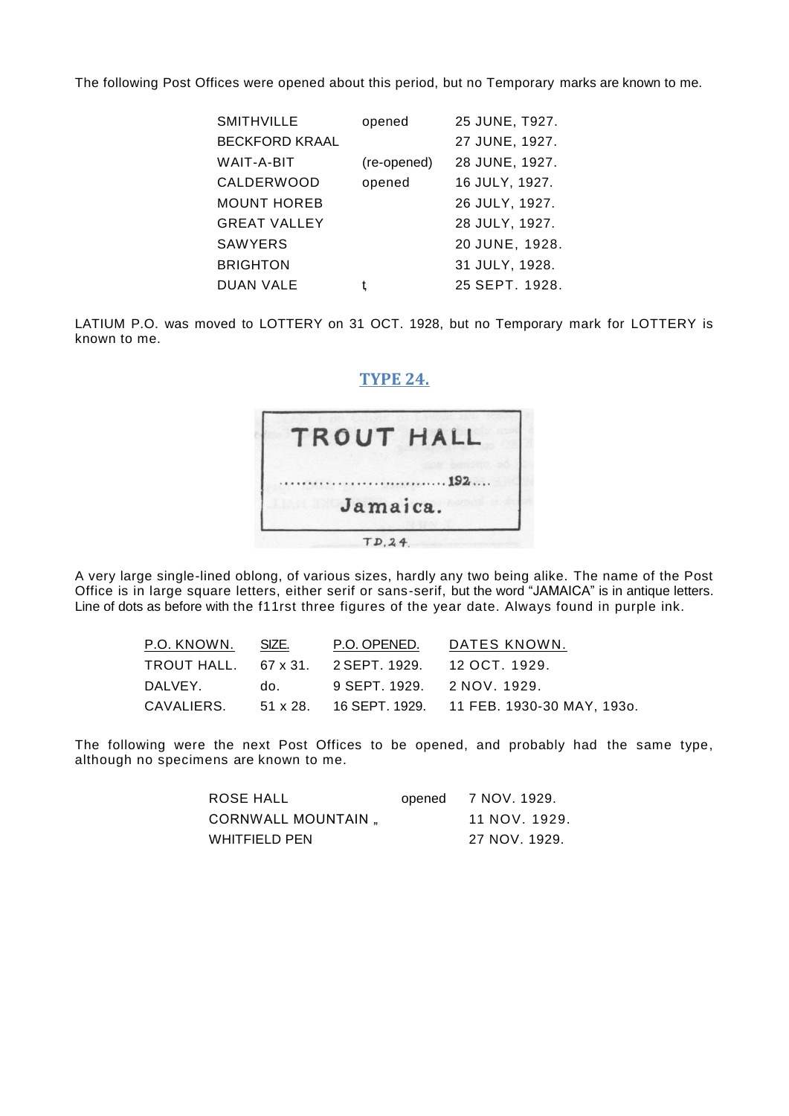The following Post Offices were opened about this period, but no Temporary marks are known to me.

| <b>SMITHVILLE</b>     | opened      | 25 JUNE, T927. |
|-----------------------|-------------|----------------|
| <b>BECKFORD KRAAL</b> |             | 27 JUNE, 1927. |
| WAIT-A-BIT            | (re-opened) | 28 JUNE, 1927. |
| <b>CALDERWOOD</b>     | opened      | 16 JULY, 1927. |
| <b>MOUNT HOREB</b>    |             | 26 JULY, 1927. |
| <b>GREAT VALLEY</b>   |             | 28 JULY, 1927. |
| <b>SAWYERS</b>        |             | 20 JUNE, 1928. |
| <b>BRIGHTON</b>       |             | 31 JULY, 1928. |
| <b>DUAN VALE</b>      |             | 25 SEPT. 1928. |

LATIUM P.O. was moved to LOTTERY on 31 OCT. 1928, but no Temporary mark for LOTTERY is known to me.

#### **TYPE 24.**



A very large single-lined oblong, of various sizes, hardly any two being alike. The name of the Post Office is in large square letters, either serif or sans-serif, but the word "JAMAICA" is in antique letters. Line of dots as before with the f11rst three figures of the year date. Always found in purple ink.

| P.O. KNOWN. SIZE. |                                                  | P.O. OPENED. DATES KNOWN.                                     |
|-------------------|--------------------------------------------------|---------------------------------------------------------------|
|                   | TROUT HALL. 67 x 31. 2 SEPT. 1929. 12 OCT. 1929. |                                                               |
|                   | DALVEY. do. 9 SEPT. 1929. 2 NOV. 1929.           |                                                               |
|                   |                                                  | CAVALIERS. 51 x 28. 16 SEPT. 1929. 11 FEB. 1930-30 MAY, 1930. |

The following were the next Post Offices to be opened, and probably had the same type, although no specimens are known to me.

| ROSE HALL          | opened 7 NOV. 1929. |
|--------------------|---------------------|
| CORNWALL MOUNTAIN, | 11 NOV. 1929.       |
| WHITFIELD PEN      | 27 NOV. 1929.       |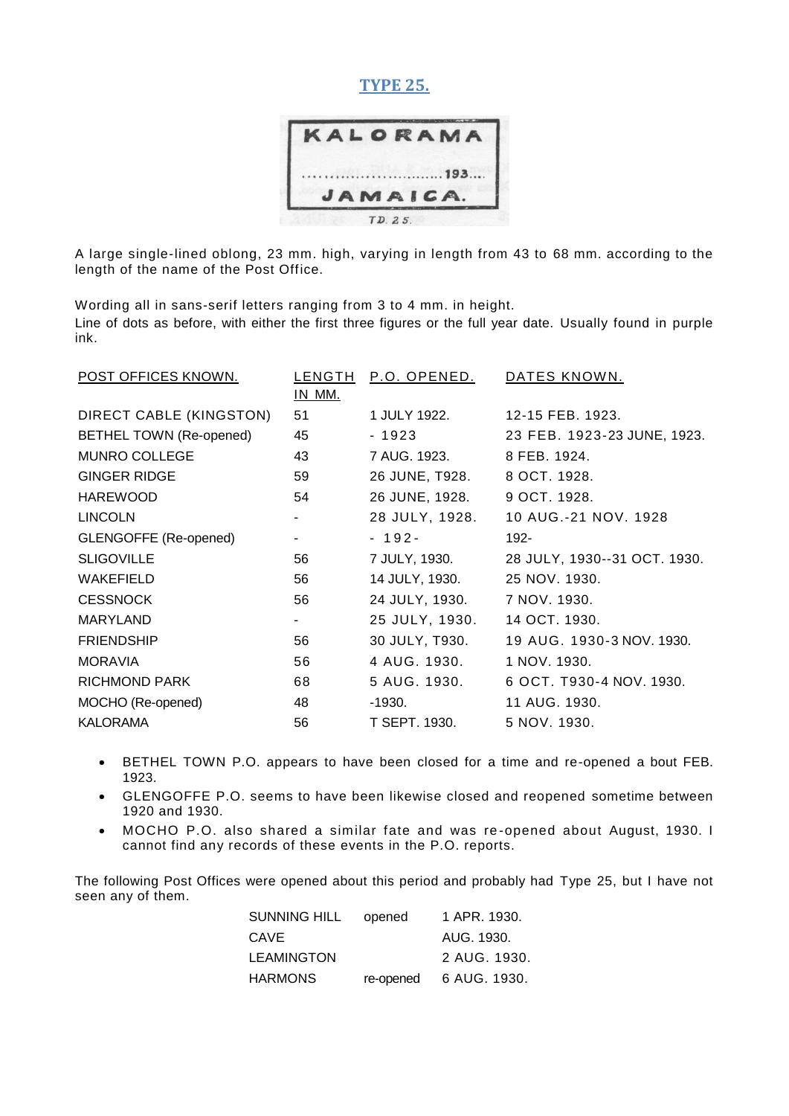#### **TYPE 25.**



A large single-lined oblong, 23 mm. high, varying in length from 43 to 68 mm. according to the length of the name of the Post Office.

Wording all in sans-serif letters ranging from 3 to 4 mm. in height. Line of dots as before, with either the first three figures or the full year date. Usually found in purple ink.

| POST OFFICES KNOWN.          | LENGTH<br>IN MM. | P.O. OPENED.   | DATES KNOWN.                 |
|------------------------------|------------------|----------------|------------------------------|
| DIRECT CABLE (KINGSTON)      | 51               | 1 JULY 1922.   | 12-15 FEB, 1923.             |
| BETHEL TOWN (Re-opened)      | 45               | - 1923         | 23 FEB. 1923-23 JUNE, 1923.  |
| <b>MUNRO COLLEGE</b>         | 43               | 7 AUG. 1923.   | 8 FEB. 1924.                 |
| <b>GINGER RIDGE</b>          | 59               | 26 JUNE, T928. | 8 OCT. 1928.                 |
| <b>HAREWOOD</b>              | 54               | 26 JUNE, 1928. | 9 OCT. 1928.                 |
| <b>LINCOLN</b>               |                  | 28 JULY, 1928. | 10 AUG.-21 NOV. 1928         |
| <b>GLENGOFFE (Re-opened)</b> |                  | $-192-$        | $192 -$                      |
| <b>SLIGOVILLE</b>            | 56               | 7 JULY, 1930.  | 28 JULY, 1930--31 OCT. 1930. |
| <b>WAKEFIELD</b>             | 56               | 14 JULY, 1930. | 25 NOV. 1930.                |
| <b>CESSNOCK</b>              | 56               | 24 JULY, 1930. | 7 NOV. 1930.                 |
| <b>MARYLAND</b>              | $\sim$           | 25 JULY, 1930. | 14 OCT. 1930.                |
| <b>FRIENDSHIP</b>            | 56               | 30 JULY, T930. | 19 AUG. 1930-3 NOV. 1930.    |
| <b>MORAVIA</b>               | 56               | 4 AUG. 1930.   | 1 NOV. 1930.                 |
| <b>RICHMOND PARK</b>         | 68               | 5 AUG. 1930.   | 6 OCT. T930-4 NOV. 1930.     |
| MOCHO (Re-opened)            | 48               | -1930.         | 11 AUG. 1930.                |
| <b>KALORAMA</b>              | 56               | T SEPT. 1930.  | 5 NOV. 1930.                 |

- BETHEL TOWN P.O. appears to have been closed for a time and re-opened a bout FEB. 1923.
- GLENGOFFE P.O. seems to have been likewise closed and reopened sometime between 1920 and 1930.
- MOCHO P.O. also shared a similar fate and was re -opened about August, 1930. I cannot find any records of these events in the P.O. reports.

The following Post Offices were opened about this period and probably had Type 25, but I have not seen any of them.

| SUNNING HILL | opened    | 1 APR. 1930. |
|--------------|-----------|--------------|
| CAVE         |           | AUG. 1930.   |
| LEAMINGTON   |           | 2 AUG. 1930. |
| HARMONS      | re-opened | 6 AUG. 1930. |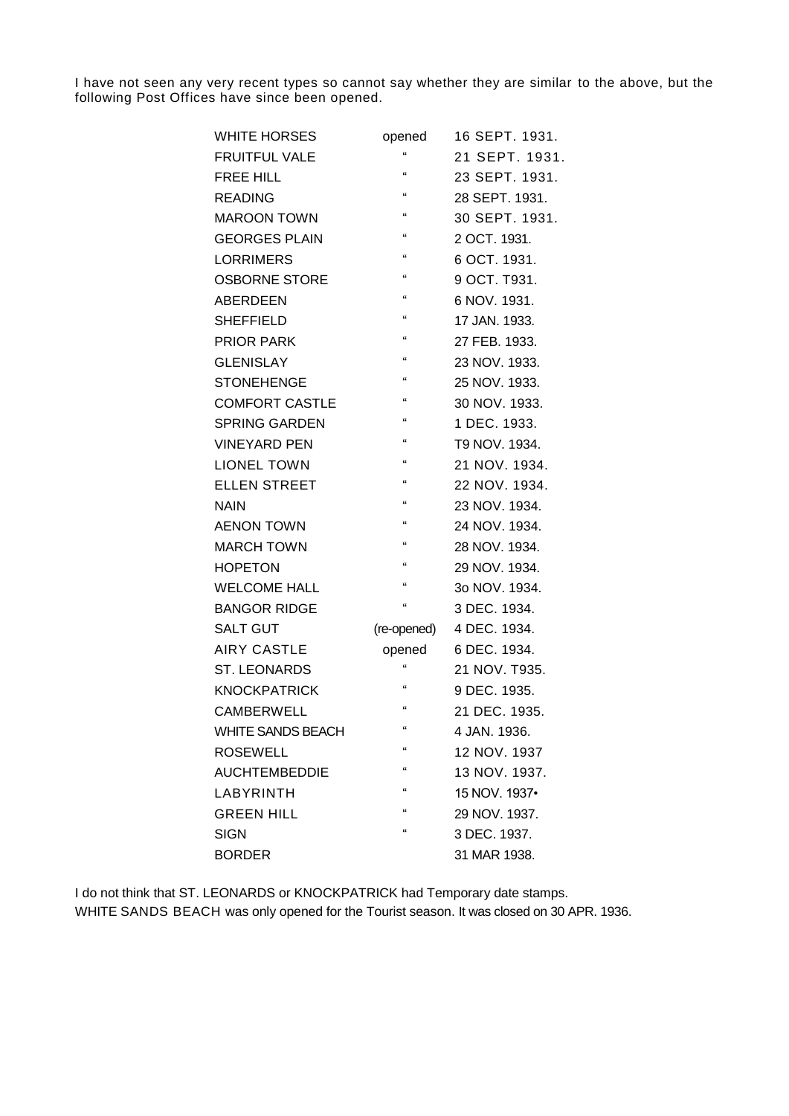I have not seen any very recent types so cannot say whether they are similar to the above, but the following Post Offices have since been opened.

| <b>WHITE HORSES</b>      | opened                     | 16 SEPT. 1931. |
|--------------------------|----------------------------|----------------|
| <b>FRUITFUL VALE</b>     | £                          | 21 SEPT. 1931. |
| <b>FREE HILL</b>         | $\epsilon$                 | 23 SEPT. 1931. |
| <b>READING</b>           | $\alpha$                   | 28 SEPT. 1931. |
| <b>MAROON TOWN</b>       | $\alpha$                   | 30 SEPT. 1931. |
| <b>GEORGES PLAIN</b>     | $\epsilon$                 | 2 OCT. 1931.   |
| <b>LORRIMERS</b>         | $\alpha$                   | 6 OCT, 1931.   |
| <b>OSBORNE STORE</b>     | $\mathfrak{c}\mathfrak{c}$ | 9 OCT. T931.   |
| <b>ABERDEEN</b>          | $\epsilon$                 | 6 NOV. 1931.   |
| <b>SHEFFIELD</b>         | $\epsilon$                 | 17 JAN. 1933.  |
| <b>PRIOR PARK</b>        | $\alpha$                   | 27 FEB. 1933.  |
| <b>GLENISLAY</b>         | $\epsilon$                 | 23 NOV. 1933.  |
| <b>STONEHENGE</b>        | $\epsilon$                 | 25 NOV. 1933.  |
| <b>COMFORT CASTLE</b>    | $\epsilon$                 | 30 NOV. 1933.  |
| <b>SPRING GARDEN</b>     | $\epsilon$                 | 1 DEC. 1933.   |
| <b>VINEYARD PEN</b>      | $\epsilon$                 | T9 NOV. 1934.  |
| <b>LIONEL TOWN</b>       | $\alpha$                   | 21 NOV. 1934.  |
| <b>ELLEN STREET</b>      | $\epsilon$                 | 22 NOV. 1934.  |
| NAIN                     | $\epsilon$                 | 23 NOV. 1934.  |
| <b>AENON TOWN</b>        | $\alpha$                   | 24 NOV. 1934.  |
| <b>MARCH TOWN</b>        | $\epsilon$                 | 28 NOV. 1934.  |
| <b>HOPETON</b>           | $\mathfrak{c}\mathfrak{c}$ | 29 NOV. 1934.  |
| <b>WELCOME HALL</b>      | $\alpha$                   | 3o NOV. 1934.  |
| <b>BANGOR RIDGE</b>      | $\epsilon$                 | 3 DEC. 1934.   |
| <b>SALT GUT</b>          | (re-opened)                | 4 DEC. 1934.   |
| <b>AIRY CASTLE</b>       | opened                     | 6 DEC. 1934.   |
| <b>ST. LEONARDS</b>      | $\alpha$                   | 21 NOV. T935.  |
| <b>KNOCKPATRICK</b>      | £                          | 9 DEC. 1935.   |
| <b>CAMBERWELL</b>        | $\mathbf{a}$               | 21 DEC. 1935.  |
| <b>WHITE SANDS BEACH</b> | $\alpha$                   | 4 JAN. 1936.   |
| <b>ROSEWELL</b>          | $\mathfrak{c}\mathfrak{c}$ | 12 NOV. 1937   |
| <b>AUCHTEMBEDDIE</b>     | $\alpha$                   | 13 NOV. 1937.  |
| LABYRINTH                | $\epsilon$                 | 15 NOV. 1937•  |
| <b>GREEN HILL</b>        | $\alpha$                   | 29 NOV, 1937.  |
| <b>SIGN</b>              | $\alpha$                   | 3 DEC. 1937.   |
| <b>BORDER</b>            |                            | 31 MAR 1938.   |

I do not think that ST. LEONARDS or KNOCKPATRICK had Temporary date stamps. WHITE SANDS BEACH was only opened for the Tourist season. It was closed on 30 APR. 1936.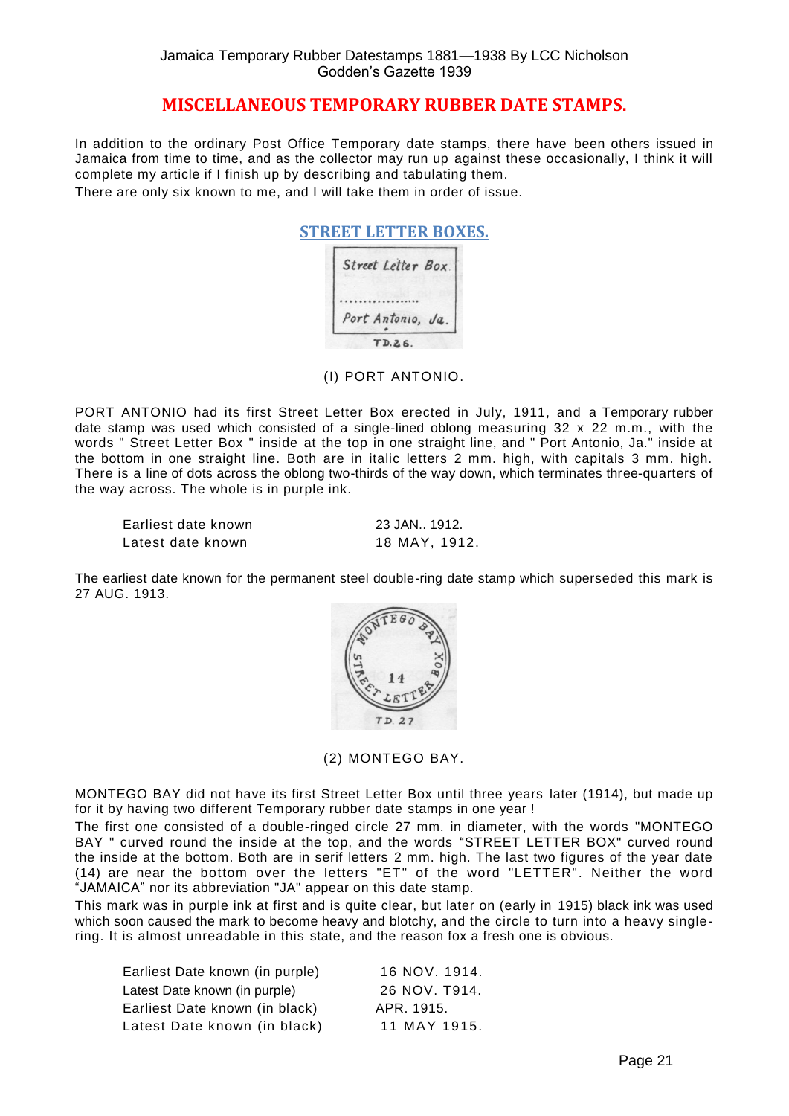#### **MISCELLANEOUS TEMPORARY RUBBER DATE STAMPS.**

In addition to the ordinary Post Office Temporary date stamps, there have been others issued in Jamaica from time to time, and as the collector may run up against these occasionally, I think it will complete my article if I finish up by describing and tabulating them.

There are only six known to me, and I will take them in order of issue.

| Street Letter Box. |  |
|--------------------|--|
|                    |  |
| Port Antonio, Ja.  |  |

(I) PORT ANTONIO.

PORT ANTONIO had its first Street Letter Box erected in July, 1911, and a Temporary rubber date stamp was used which consisted of a single-lined oblong measuring 32 x 22 m.m., with the words " Street Letter Box " inside at the top in one straight line, and " Port Antonio, Ja." inside at the bottom in one straight line. Both are in italic letters 2 mm. high, with capitals 3 mm. high. There is a line of dots across the oblong two-thirds of the way down, which terminates three-quarters of the way across. The whole is in purple ink.

| Earliest date known | 23 JAN., 1912. |
|---------------------|----------------|
| Latest date known   | 18 MAY, 1912.  |

The earliest date known for the permanent steel double-ring date stamp which superseded this mark is 27 AUG. 1913.



(2) MONTEGO BAY.

MONTEGO BAY did not have its first Street Letter Box until three years later (1914), but made up for it by having two different Temporary rubber date stamps in one year !

The first one consisted of a double-ringed circle 27 mm. in diameter, with the words "MONTEGO BAY " curved round the inside at the top, and the words "STREET LETTER BOX" curved round the inside at the bottom. Both are in serif letters 2 mm. high. The last two figures of the year date (14) are near the bottom over the letters "ET" of the word "LETTER". Neither the word "JAMAICA" nor its abbreviation "JA" appear on this date stamp.

This mark was in purple ink at first and is quite clear, but later on (early in 1915) black ink was used which soon caused the mark to become heavy and blotchy, and the circle to turn into a heavy singlering. It is almost unreadable in this state, and the reason fox a fresh one is obvious.

| Earliest Date known (in purple) | 16 NOV. 1914. |
|---------------------------------|---------------|
| Latest Date known (in purple)   | 26 NOV. T914. |
| Earliest Date known (in black)  | APR. 1915.    |
| Latest Date known (in black)    | 11 MAY 1915.  |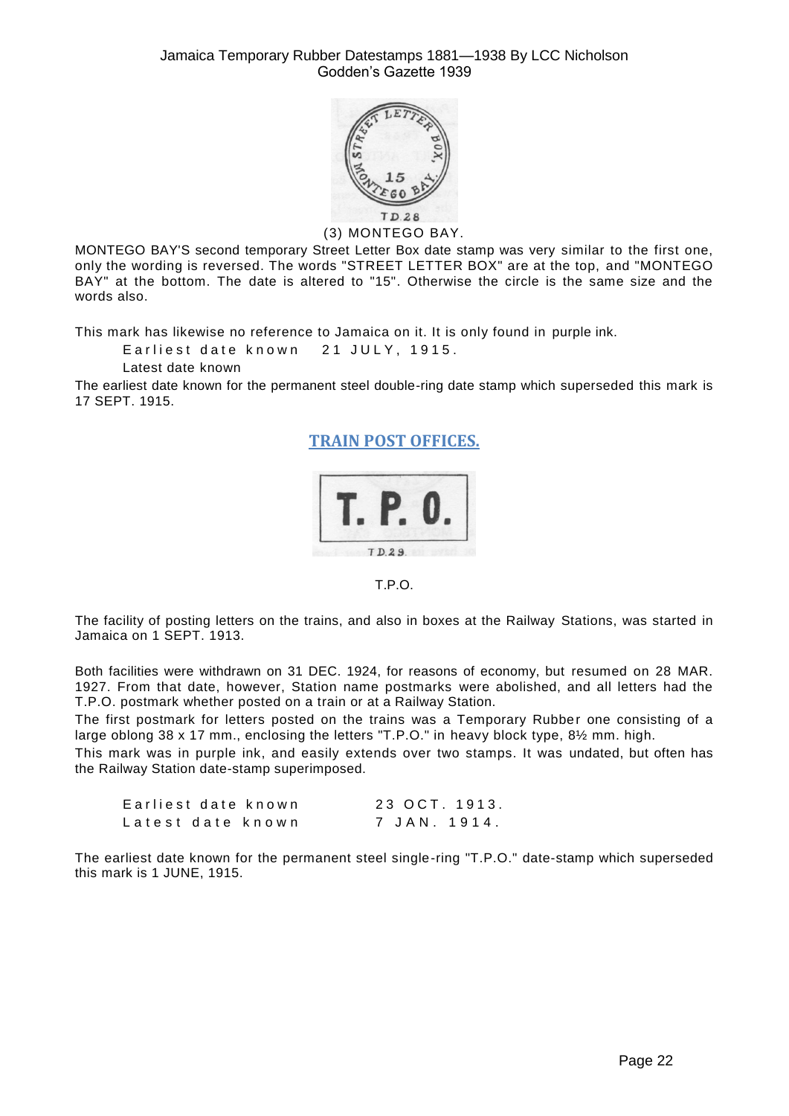

(3) MONTEGO BAY.

MONTEGO BAY'S second temporary Street Letter Box date stamp was very similar to the first one, only the wording is reversed. The words "STREET LETTER BOX" are at the top, and "MONTEGO BAY" at the bottom. The date is altered to "15". Otherwise the circle is the same size and the words also.

This mark has likewise no reference to Jamaica on it. It is only found in purple ink.

Earliest date known 21 JULY, 1915.

Latest date known

The earliest date known for the permanent steel double-ring date stamp which superseded this mark is 17 SEPT. 1915.

**TRAIN POST OFFICES.**



T.P.O.

The facility of posting letters on the trains, and also in boxes at the Railway Stations, was started in Jamaica on 1 SEPT. 1913.

Both facilities were withdrawn on 31 DEC. 1924, for reasons of economy, but resumed on 28 MAR. 1927. From that date, however, Station name postmarks were abolished, and all letters had the T.P.O. postmark whether posted on a train or at a Railway Station.

The first postmark for letters posted on the trains was a Temporary Rubber one consisting of a large oblong 38 x 17 mm., enclosing the letters "T.P.O." in heavy block type, 81/2 mm. high.

This mark was in purple ink, and easily extends over two stamps. It was undated, but often has the Railway Station date-stamp superimposed.

| Earliest date known | 23 OCT. 1913. |
|---------------------|---------------|
| Latest date known   | 7 JAN. 1914.  |

The earliest date known for the permanent steel single-ring "T.P.O." date-stamp which superseded this mark is 1 JUNE, 1915.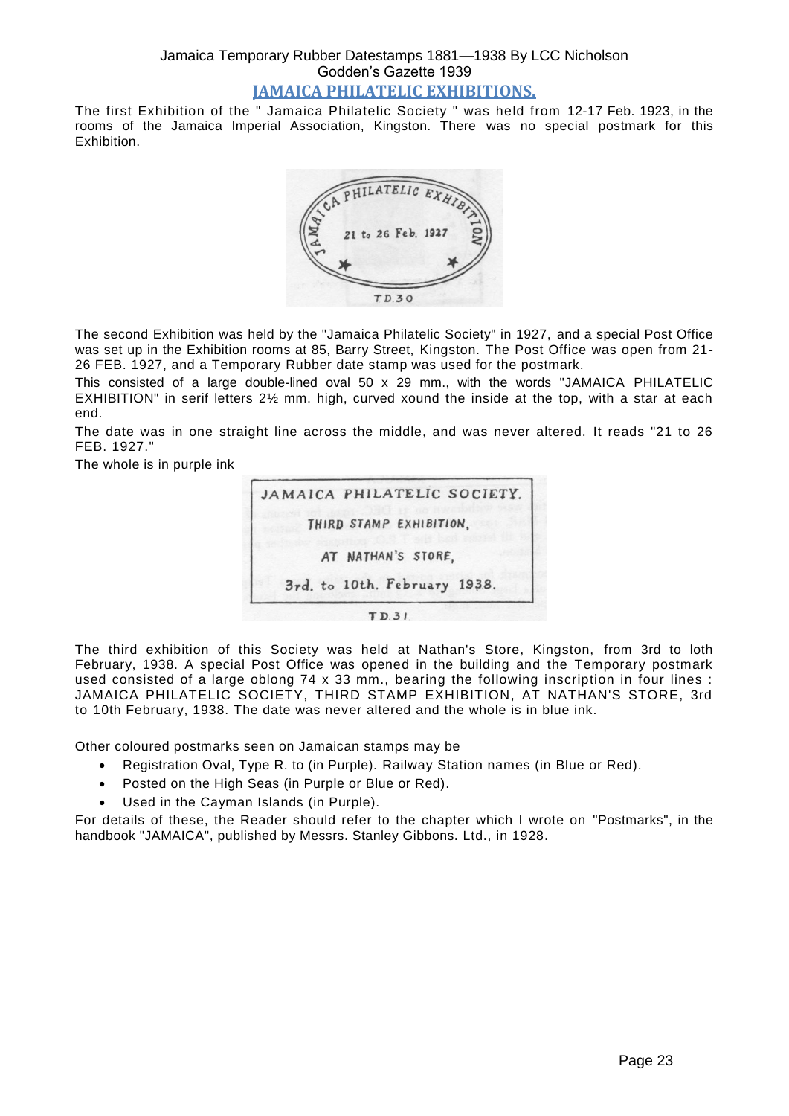#### Jamaica Temporary Rubber Datestamps 1881—1938 By LCC Nicholson Godden's Gazette 1939 **JAMAICA PHILATELIC EXHIBITIONS.**

The first Exhibition of the " Jamaica Philatelic Society " was held from 12-17 Feb. 1923, in the rooms of the Jamaica Imperial Association, Kingston. There was no special postmark for this Exhibition.



The second Exhibition was held by the "Jamaica Philatelic Society" in 1927, and a special Post Office was set up in the Exhibition rooms at 85, Barry Street, Kingston. The Post Office was open from 21- 26 FEB. 1927, and a Temporary Rubber date stamp was used for the postmark.

This consisted of a large double-lined oval 50 x 29 mm., with the words "JAMAICA PHILATELIC EXHIBITION" in serif letters 2½ mm. high, curved xound the inside at the top, with a star at each end.

The date was in one straight line across the middle, and was never altered. It reads "21 to 26 FEB. 1927."

The whole is in purple ink



The third exhibition of this Society was held at Nathan's Store, Kingston, from 3rd to loth February, 1938. A special Post Office was opened in the building and the Temporary postmark used consisted of a large oblong 74 x 33 mm., bearing the following inscription in four lines : JAMAICA PHILATELIC SOCIETY, THIRD STAMP EXHIBITION, AT NATHAN'S STORE, 3rd to 10th February, 1938. The date was never altered and the whole is in blue ink.

Other coloured postmarks seen on Jamaican stamps may be

- Registration Oval, Type R. to (in Purple). Railway Station names (in Blue or Red).
- Posted on the High Seas (in Purple or Blue or Red).
- Used in the Cayman Islands (in Purple).

For details of these, the Reader should refer to the chapter which I wrote on "Postmarks", in the handbook "JAMAICA", published by Messrs. Stanley Gibbons. Ltd., in 1928.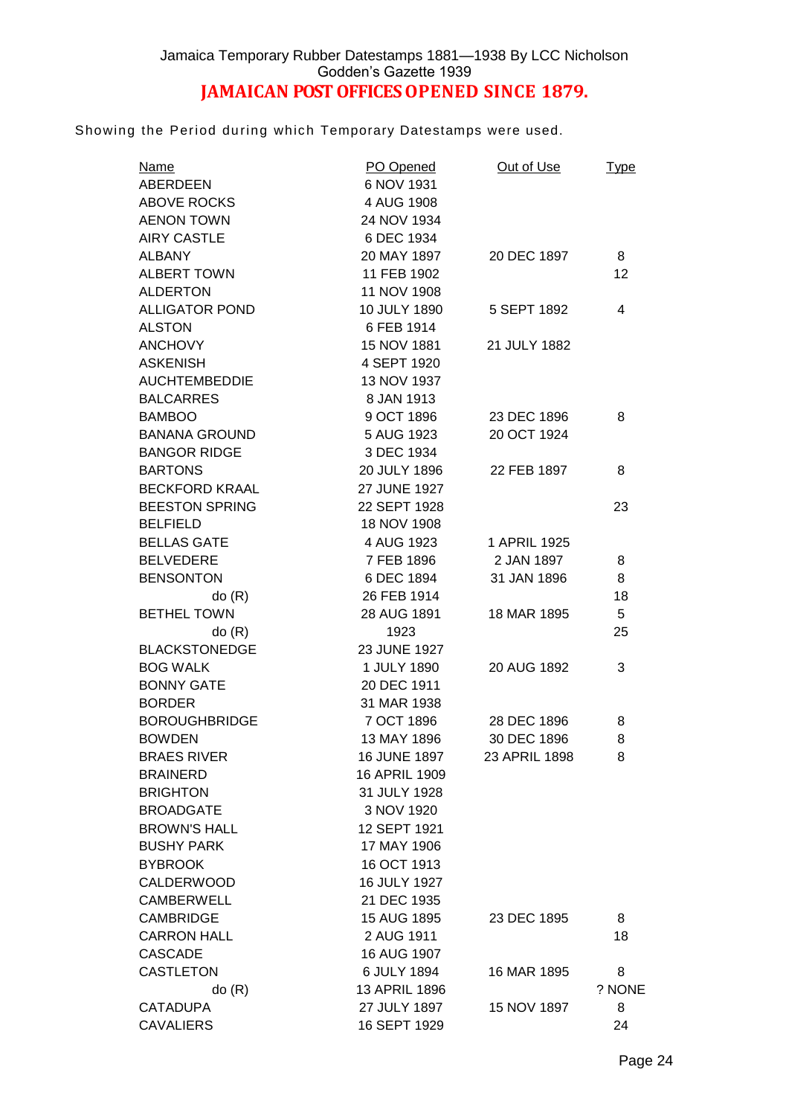Showing the Period during which Temporary Datestamps were used.

| <b>Name</b>           | PO Opened     | Out of Use    | <u>Type</u> |
|-----------------------|---------------|---------------|-------------|
| ABERDEEN              | 6 NOV 1931    |               |             |
| <b>ABOVE ROCKS</b>    | 4 AUG 1908    |               |             |
| <b>AENON TOWN</b>     | 24 NOV 1934   |               |             |
| <b>AIRY CASTLE</b>    | 6 DEC 1934    |               |             |
| <b>ALBANY</b>         | 20 MAY 1897   | 20 DEC 1897   | 8           |
| <b>ALBERT TOWN</b>    | 11 FEB 1902   |               | 12          |
| <b>ALDERTON</b>       | 11 NOV 1908   |               |             |
| <b>ALLIGATOR POND</b> | 10 JULY 1890  | 5 SEPT 1892   | 4           |
| <b>ALSTON</b>         | 6 FEB 1914    |               |             |
| <b>ANCHOVY</b>        | 15 NOV 1881   | 21 JULY 1882  |             |
| <b>ASKENISH</b>       | 4 SEPT 1920   |               |             |
| <b>AUCHTEMBEDDIE</b>  | 13 NOV 1937   |               |             |
| <b>BALCARRES</b>      | 8 JAN 1913    |               |             |
| <b>BAMBOO</b>         | 9 OCT 1896    | 23 DEC 1896   | 8           |
| <b>BANANA GROUND</b>  | 5 AUG 1923    | 20 OCT 1924   |             |
| <b>BANGOR RIDGE</b>   | 3 DEC 1934    |               |             |
| <b>BARTONS</b>        | 20 JULY 1896  | 22 FEB 1897   | 8           |
| <b>BECKFORD KRAAL</b> | 27 JUNE 1927  |               |             |
| <b>BEESTON SPRING</b> | 22 SEPT 1928  |               | 23          |
| <b>BELFIELD</b>       | 18 NOV 1908   |               |             |
| <b>BELLAS GATE</b>    | 4 AUG 1923    | 1 APRIL 1925  |             |
| <b>BELVEDERE</b>      | 7 FEB 1896    | 2 JAN 1897    | 8           |
| <b>BENSONTON</b>      | 6 DEC 1894    | 31 JAN 1896   | 8           |
| do(R)                 | 26 FEB 1914   |               | 18          |
| <b>BETHEL TOWN</b>    | 28 AUG 1891   | 18 MAR 1895   | 5           |
| do(R)                 | 1923          |               | 25          |
| <b>BLACKSTONEDGE</b>  | 23 JUNE 1927  |               |             |
| <b>BOG WALK</b>       | 1 JULY 1890   | 20 AUG 1892   | 3           |
| <b>BONNY GATE</b>     | 20 DEC 1911   |               |             |
| <b>BORDER</b>         | 31 MAR 1938   |               |             |
| <b>BOROUGHBRIDGE</b>  | 7 OCT 1896    | 28 DEC 1896   | 8           |
| <b>BOWDEN</b>         | 13 MAY 1896   | 30 DEC 1896   | 8           |
| <b>BRAES RIVER</b>    | 16 JUNE 1897  | 23 APRIL 1898 | 8           |
| <b>BRAINERD</b>       | 16 APRIL 1909 |               |             |
| <b>BRIGHTON</b>       | 31 JULY 1928  |               |             |
| <b>BROADGATE</b>      | 3 NOV 1920    |               |             |
| <b>BROWN'S HALL</b>   | 12 SEPT 1921  |               |             |
| <b>BUSHY PARK</b>     |               |               |             |
|                       | 17 MAY 1906   |               |             |
| <b>BYBROOK</b>        | 16 OCT 1913   |               |             |
| <b>CALDERWOOD</b>     | 16 JULY 1927  |               |             |
| <b>CAMBERWELL</b>     | 21 DEC 1935   |               |             |
| <b>CAMBRIDGE</b>      | 15 AUG 1895   | 23 DEC 1895   | 8           |
| <b>CARRON HALL</b>    | 2 AUG 1911    |               | 18          |
| <b>CASCADE</b>        | 16 AUG 1907   |               |             |
| <b>CASTLETON</b>      | 6 JULY 1894   | 16 MAR 1895   | 8           |
| do(R)                 | 13 APRIL 1896 |               | ? NONE      |
| <b>CATADUPA</b>       | 27 JULY 1897  | 15 NOV 1897   | 8           |
| <b>CAVALIERS</b>      | 16 SEPT 1929  |               | 24          |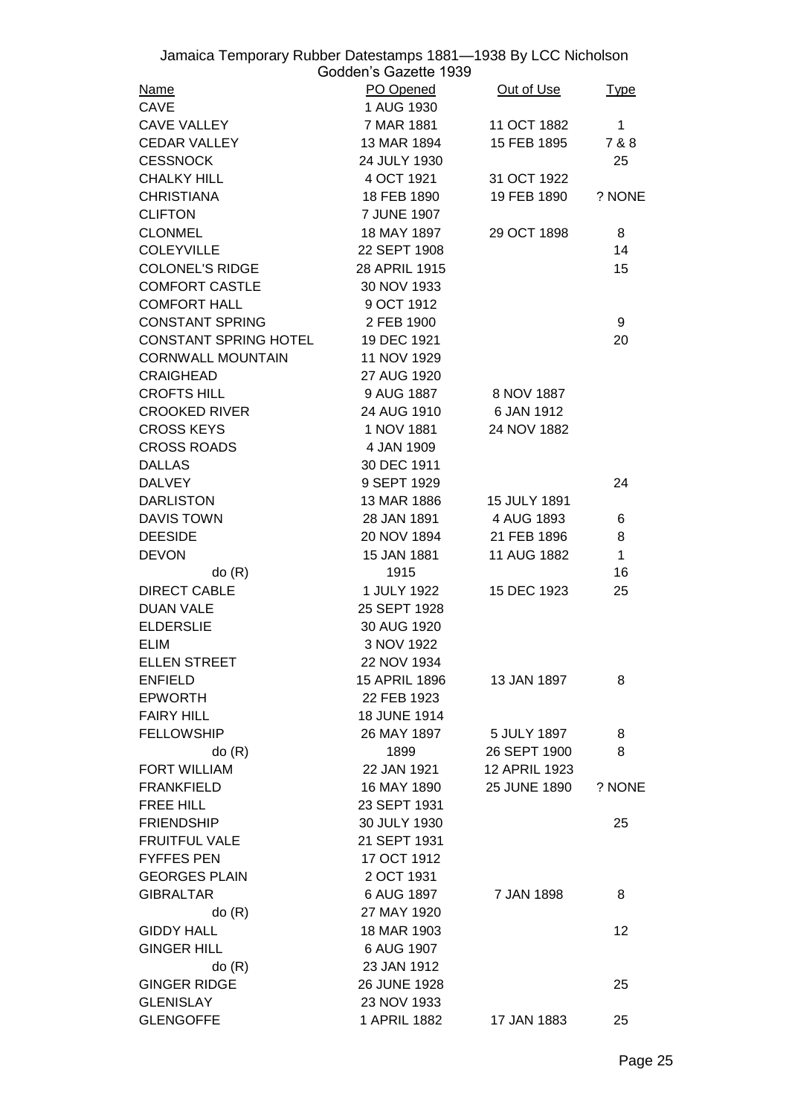| Jamaica Temporary Rubber Datestamps 1881-1938 By LCC Nicholson | Godden's Gazette 1939 |               |              |
|----------------------------------------------------------------|-----------------------|---------------|--------------|
| <b>Name</b>                                                    | PO Opened             | Out of Use    |              |
| CAVE                                                           | 1 AUG 1930            |               | <u>Type</u>  |
| <b>CAVE VALLEY</b>                                             | 7 MAR 1881            | 11 OCT 1882   | $\mathbf{1}$ |
| <b>CEDAR VALLEY</b>                                            | 13 MAR 1894           | 15 FEB 1895   | 7 & 8        |
|                                                                |                       |               |              |
| <b>CESSNOCK</b>                                                | 24 JULY 1930          |               | 25           |
| <b>CHALKY HILL</b>                                             | 4 OCT 1921            | 31 OCT 1922   |              |
| <b>CHRISTIANA</b>                                              | 18 FEB 1890           | 19 FEB 1890   | ? NONE       |
| <b>CLIFTON</b>                                                 | 7 JUNE 1907           |               |              |
| <b>CLONMEL</b>                                                 | 18 MAY 1897           | 29 OCT 1898   | 8            |
| <b>COLEYVILLE</b>                                              | 22 SEPT 1908          |               | 14           |
| <b>COLONEL'S RIDGE</b>                                         | 28 APRIL 1915         |               | 15           |
| <b>COMFORT CASTLE</b>                                          | 30 NOV 1933           |               |              |
| <b>COMFORT HALL</b>                                            | 9 OCT 1912            |               |              |
| <b>CONSTANT SPRING</b>                                         | 2 FEB 1900            |               | 9            |
| CONSTANT SPRING HOTEL                                          | 19 DEC 1921           |               | 20           |
| <b>CORNWALL MOUNTAIN</b>                                       | 11 NOV 1929           |               |              |
| <b>CRAIGHEAD</b>                                               | 27 AUG 1920           |               |              |
| <b>CROFTS HILL</b>                                             | 9 AUG 1887            | 8 NOV 1887    |              |
| <b>CROOKED RIVER</b>                                           | 24 AUG 1910           | 6 JAN 1912    |              |
| <b>CROSS KEYS</b>                                              | 1 NOV 1881            | 24 NOV 1882   |              |
| <b>CROSS ROADS</b>                                             | 4 JAN 1909            |               |              |
| <b>DALLAS</b>                                                  | 30 DEC 1911           |               |              |
| <b>DALVEY</b>                                                  | 9 SEPT 1929           |               | 24           |
| <b>DARLISTON</b>                                               | 13 MAR 1886           | 15 JULY 1891  |              |
| <b>DAVIS TOWN</b>                                              | 28 JAN 1891           | 4 AUG 1893    | 6            |
| <b>DEESIDE</b>                                                 | 20 NOV 1894           | 21 FEB 1896   | 8            |
| <b>DEVON</b>                                                   | 15 JAN 1881           | 11 AUG 1882   | $\mathbf{1}$ |
| do(R)                                                          | 1915                  |               | 16           |
| <b>DIRECT CABLE</b>                                            | 1 JULY 1922           | 15 DEC 1923   | 25           |
| <b>DUAN VALE</b>                                               | 25 SEPT 1928          |               |              |
| <b>ELDERSLIE</b>                                               | 30 AUG 1920           |               |              |
| <b>ELIM</b>                                                    | 3 NOV 1922            |               |              |
| <b>ELLEN STREET</b>                                            | 22 NOV 1934           |               |              |
| <b>ENFIELD</b>                                                 | 15 APRIL 1896         | 13 JAN 1897   | 8            |
| <b>EPWORTH</b>                                                 | 22 FEB 1923           |               |              |
| <b>FAIRY HILL</b>                                              | 18 JUNE 1914          |               |              |
|                                                                |                       |               |              |
| <b>FELLOWSHIP</b>                                              | 26 MAY 1897           | 5 JULY 1897   | 8            |
| do(R)                                                          | 1899                  | 26 SEPT 1900  | 8            |
| FORT WILLIAM                                                   | 22 JAN 1921           | 12 APRIL 1923 |              |
| <b>FRANKFIELD</b>                                              | 16 MAY 1890           | 25 JUNE 1890  | ? NONE       |
| <b>FREE HILL</b>                                               | 23 SEPT 1931          |               |              |
| <b>FRIENDSHIP</b>                                              | 30 JULY 1930          |               | 25           |
| <b>FRUITFUL VALE</b>                                           | 21 SEPT 1931          |               |              |
| <b>FYFFES PEN</b>                                              | 17 OCT 1912           |               |              |
| <b>GEORGES PLAIN</b>                                           | 2 OCT 1931            |               |              |
| <b>GIBRALTAR</b>                                               | 6 AUG 1897            | 7 JAN 1898    | 8            |
| do(R)                                                          | 27 MAY 1920           |               |              |
| <b>GIDDY HALL</b>                                              | 18 MAR 1903           |               | 12           |
| <b>GINGER HILL</b>                                             | 6 AUG 1907            |               |              |
| do(R)                                                          | 23 JAN 1912           |               |              |
| <b>GINGER RIDGE</b>                                            | 26 JUNE 1928          |               | 25           |
| <b>GLENISLAY</b>                                               | 23 NOV 1933           |               |              |
| <b>GLENGOFFE</b>                                               | 1 APRIL 1882          | 17 JAN 1883   | 25           |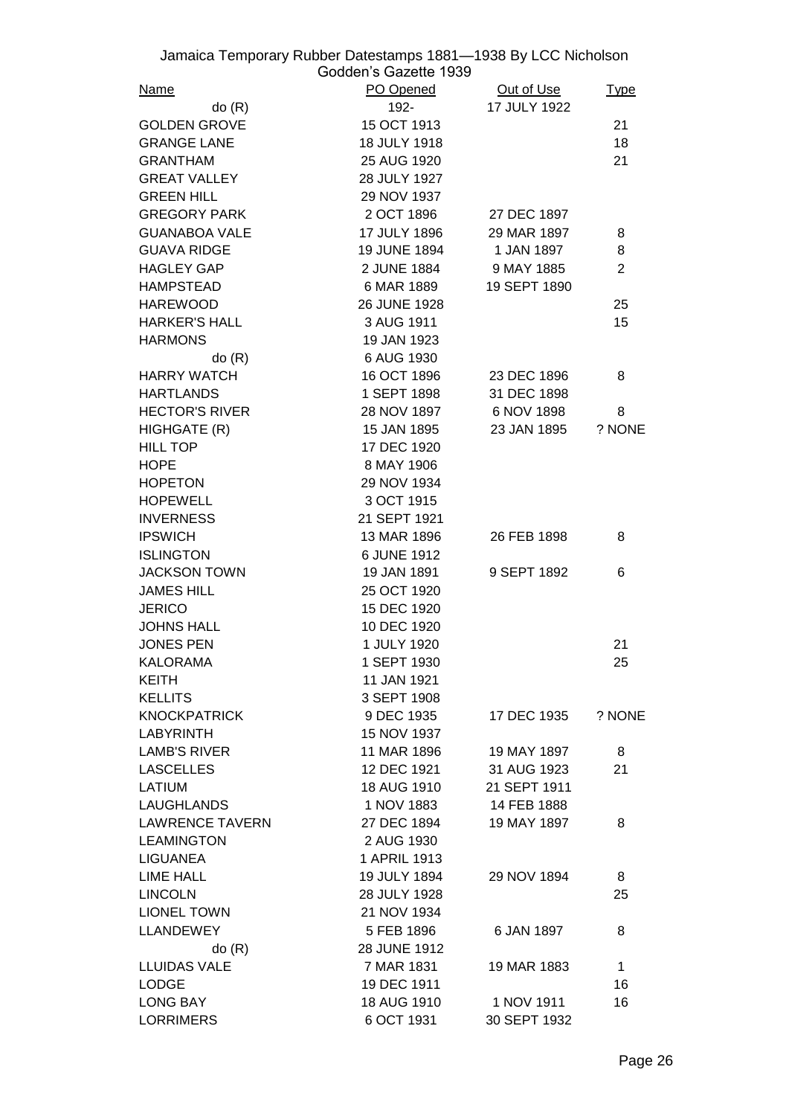| Jamaica Temporary Rubber Datestamps 1881-1938 By LCC Nicholson |                       |              |                |
|----------------------------------------------------------------|-----------------------|--------------|----------------|
|                                                                | Godden's Gazette 1939 |              |                |
| <u>Name</u>                                                    | PO Opened             | Out of Use   | <u>Type</u>    |
| do(R)                                                          | 192-                  | 17 JULY 1922 |                |
| <b>GOLDEN GROVE</b>                                            | 15 OCT 1913           |              | 21             |
| <b>GRANGE LANE</b>                                             | 18 JULY 1918          |              | 18             |
| <b>GRANTHAM</b>                                                | 25 AUG 1920           |              | 21             |
| <b>GREAT VALLEY</b>                                            | 28 JULY 1927          |              |                |
| <b>GREEN HILL</b>                                              | 29 NOV 1937           |              |                |
| <b>GREGORY PARK</b>                                            | 2 OCT 1896            | 27 DEC 1897  |                |
| <b>GUANABOA VALE</b>                                           | 17 JULY 1896          | 29 MAR 1897  | 8              |
| <b>GUAVA RIDGE</b>                                             | <b>19 JUNE 1894</b>   | 1 JAN 1897   | 8              |
| <b>HAGLEY GAP</b>                                              | 2 JUNE 1884           | 9 MAY 1885   | $\overline{2}$ |
| <b>HAMPSTEAD</b>                                               | 6 MAR 1889            | 19 SEPT 1890 |                |
| <b>HAREWOOD</b>                                                | 26 JUNE 1928          |              | 25             |
| <b>HARKER'S HALL</b>                                           | 3 AUG 1911            |              | 15             |
| <b>HARMONS</b>                                                 | 19 JAN 1923           |              |                |
| do(R)                                                          | 6 AUG 1930            |              |                |
| <b>HARRY WATCH</b>                                             | 16 OCT 1896           | 23 DEC 1896  | 8              |
| <b>HARTLANDS</b>                                               | 1 SEPT 1898           | 31 DEC 1898  |                |
| <b>HECTOR'S RIVER</b>                                          | 28 NOV 1897           | 6 NOV 1898   | 8              |
| HIGHGATE (R)                                                   | 15 JAN 1895           | 23 JAN 1895  | ? NONE         |
| <b>HILL TOP</b>                                                | 17 DEC 1920           |              |                |
| <b>HOPE</b>                                                    | 8 MAY 1906            |              |                |
| <b>HOPETON</b>                                                 | 29 NOV 1934           |              |                |
| <b>HOPEWELL</b>                                                | 3 OCT 1915            |              |                |
| <b>INVERNESS</b>                                               | 21 SEPT 1921          |              |                |
| <b>IPSWICH</b>                                                 | 13 MAR 1896           | 26 FEB 1898  | 8              |
| <b>ISLINGTON</b>                                               | 6 JUNE 1912           |              |                |
| <b>JACKSON TOWN</b>                                            | 19 JAN 1891           | 9 SEPT 1892  | 6              |
| <b>JAMES HILL</b>                                              | 25 OCT 1920           |              |                |
|                                                                |                       |              |                |
| <b>JERICO</b>                                                  | 15 DEC 1920           |              |                |
| <b>JOHNS HALL</b>                                              | 10 DEC 1920           |              |                |
| <b>JONES PEN</b>                                               | 1 JULY 1920           |              | 21             |
| <b>KALORAMA</b>                                                | 1 SEPT 1930           |              | 25             |
| <b>KEITH</b>                                                   | 11 JAN 1921           |              |                |
| <b>KELLITS</b>                                                 | 3 SEPT 1908           |              |                |
| <b>KNOCKPATRICK</b>                                            | 9 DEC 1935            | 17 DEC 1935  | ? NONE         |
| <b>LABYRINTH</b>                                               | 15 NOV 1937           |              |                |
| <b>LAMB'S RIVER</b>                                            | 11 MAR 1896           | 19 MAY 1897  | 8              |
| <b>LASCELLES</b>                                               | 12 DEC 1921           | 31 AUG 1923  | 21             |
| LATIUM                                                         | 18 AUG 1910           | 21 SEPT 1911 |                |
| <b>LAUGHLANDS</b>                                              | 1 NOV 1883            | 14 FEB 1888  |                |
| <b>LAWRENCE TAVERN</b>                                         | 27 DEC 1894           | 19 MAY 1897  | 8              |
| <b>LEAMINGTON</b>                                              | 2 AUG 1930            |              |                |
| <b>LIGUANEA</b>                                                | 1 APRIL 1913          |              |                |
| <b>LIME HALL</b>                                               | 19 JULY 1894          | 29 NOV 1894  | 8              |
| <b>LINCOLN</b>                                                 | 28 JULY 1928          |              | 25             |
| <b>LIONEL TOWN</b>                                             | 21 NOV 1934           |              |                |
| <b>LLANDEWEY</b>                                               | 5 FEB 1896            | 6 JAN 1897   | 8              |
| do(R)                                                          | 28 JUNE 1912          |              |                |
| <b>LLUIDAS VALE</b>                                            | 7 MAR 1831            | 19 MAR 1883  | $\mathbf{1}$   |
| <b>LODGE</b>                                                   | 19 DEC 1911           |              | 16             |
| <b>LONG BAY</b>                                                | 18 AUG 1910           | 1 NOV 1911   | 16             |
| <b>LORRIMERS</b>                                               | 6 OCT 1931            | 30 SEPT 1932 |                |
|                                                                |                       |              |                |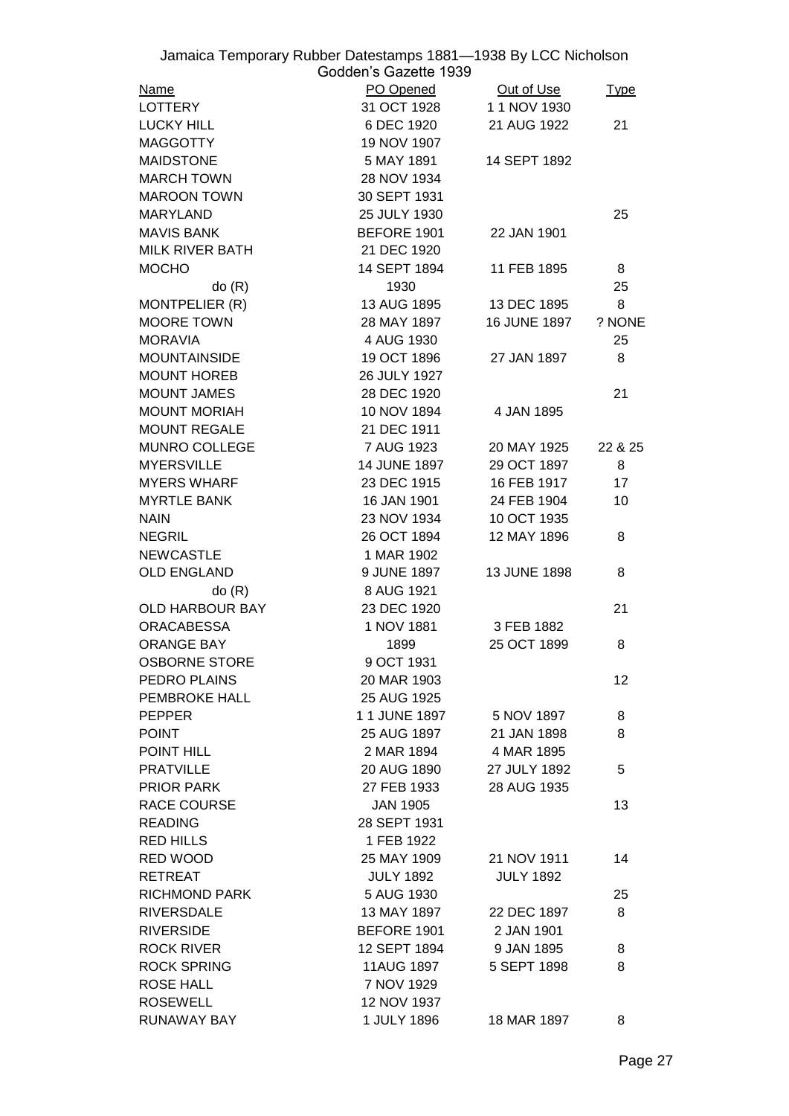| Jamaica Temporary Rubber Datestamps 1881-1938 By LCC Nicholson | Godden's Gazette 1939 |                     |             |
|----------------------------------------------------------------|-----------------------|---------------------|-------------|
| Name                                                           | PO Opened             | Out of Use          | <u>Type</u> |
| <b>LOTTERY</b>                                                 | 31 OCT 1928           | 1 1 NOV 1930        |             |
| <b>LUCKY HILL</b>                                              | 6 DEC 1920            | 21 AUG 1922         | 21          |
| <b>MAGGOTTY</b>                                                | 19 NOV 1907           |                     |             |
| <b>MAIDSTONE</b>                                               | 5 MAY 1891            | 14 SEPT 1892        |             |
| <b>MARCH TOWN</b>                                              | 28 NOV 1934           |                     |             |
| <b>MAROON TOWN</b>                                             | 30 SEPT 1931          |                     |             |
| <b>MARYLAND</b>                                                | 25 JULY 1930          |                     | 25          |
| <b>MAVIS BANK</b>                                              | BEFORE 1901           | 22 JAN 1901         |             |
| <b>MILK RIVER BATH</b>                                         | 21 DEC 1920           |                     |             |
| <b>MOCHO</b>                                                   | 14 SEPT 1894          | 11 FEB 1895         | 8           |
| do(R)                                                          | 1930                  |                     | 25          |
| MONTPELIER (R)                                                 | 13 AUG 1895           | 13 DEC 1895         | 8           |
| <b>MOORE TOWN</b>                                              | 28 MAY 1897           | <b>16 JUNE 1897</b> | ? NONE      |
| <b>MORAVIA</b>                                                 | 4 AUG 1930            |                     | 25          |
| <b>MOUNTAINSIDE</b>                                            | 19 OCT 1896           | 27 JAN 1897         | 8           |
| <b>MOUNT HOREB</b>                                             | 26 JULY 1927          |                     |             |
| <b>MOUNT JAMES</b>                                             | 28 DEC 1920           |                     | 21          |
| <b>MOUNT MORIAH</b>                                            | 10 NOV 1894           | 4 JAN 1895          |             |
| <b>MOUNT REGALE</b>                                            | 21 DEC 1911           |                     |             |
| <b>MUNRO COLLEGE</b>                                           | 7 AUG 1923            | 20 MAY 1925         | 22 & 25     |
| <b>MYERSVILLE</b>                                              | <b>14 JUNE 1897</b>   | 29 OCT 1897         | 8           |
| <b>MYERS WHARF</b>                                             | 23 DEC 1915           | 16 FEB 1917         | 17          |
| <b>MYRTLE BANK</b>                                             | 16 JAN 1901           |                     | 10          |
|                                                                |                       | 24 FEB 1904         |             |
| <b>NAIN</b>                                                    | 23 NOV 1934           | 10 OCT 1935         | 8           |
| <b>NEGRIL</b>                                                  | 26 OCT 1894           | 12 MAY 1896         |             |
| <b>NEWCASTLE</b>                                               | 1 MAR 1902            |                     |             |
| <b>OLD ENGLAND</b>                                             | 9 JUNE 1897           | 13 JUNE 1898        | 8           |
| do(R)                                                          | 8 AUG 1921            |                     |             |
| OLD HARBOUR BAY                                                | 23 DEC 1920           |                     | 21          |
| <b>ORACABESSA</b>                                              | 1 NOV 1881            | 3 FEB 1882          |             |
| ORANGE BAY                                                     | 1899                  | 25 OCT 1899         | 8           |
| <b>OSBORNE STORE</b>                                           | 9 OCT 1931            |                     |             |
| PEDRO PLAINS                                                   | 20 MAR 1903           |                     | 12          |
| PEMBROKE HALL                                                  | 25 AUG 1925           |                     |             |
| <b>PEPPER</b>                                                  | 11 JUNE 1897          | 5 NOV 1897          | 8           |
| <b>POINT</b>                                                   | 25 AUG 1897           | 21 JAN 1898         | 8           |
| POINT HILL                                                     | 2 MAR 1894            | 4 MAR 1895          |             |
| <b>PRATVILLE</b>                                               | 20 AUG 1890           | 27 JULY 1892        | 5           |
| PRIOR PARK                                                     | 27 FEB 1933           | 28 AUG 1935         |             |
| <b>RACE COURSE</b>                                             | <b>JAN 1905</b>       |                     | 13          |
| <b>READING</b>                                                 | 28 SEPT 1931          |                     |             |
| <b>RED HILLS</b>                                               | 1 FEB 1922            |                     |             |
| RED WOOD                                                       | 25 MAY 1909           | 21 NOV 1911         | 14          |
| <b>RETREAT</b>                                                 | <b>JULY 1892</b>      | <b>JULY 1892</b>    |             |
| <b>RICHMOND PARK</b>                                           | 5 AUG 1930            |                     | 25          |
| <b>RIVERSDALE</b>                                              | 13 MAY 1897           | 22 DEC 1897         | 8           |
| <b>RIVERSIDE</b>                                               | BEFORE 1901           | 2 JAN 1901          |             |
| <b>ROCK RIVER</b>                                              | 12 SEPT 1894          | 9 JAN 1895          | 8           |
| <b>ROCK SPRING</b>                                             | 11AUG 1897            | 5 SEPT 1898         | 8           |
| <b>ROSE HALL</b>                                               | 7 NOV 1929            |                     |             |
| <b>ROSEWELL</b>                                                | 12 NOV 1937           |                     |             |
| RUNAWAY BAY                                                    | 1 JULY 1896           | 18 MAR 1897         | 8           |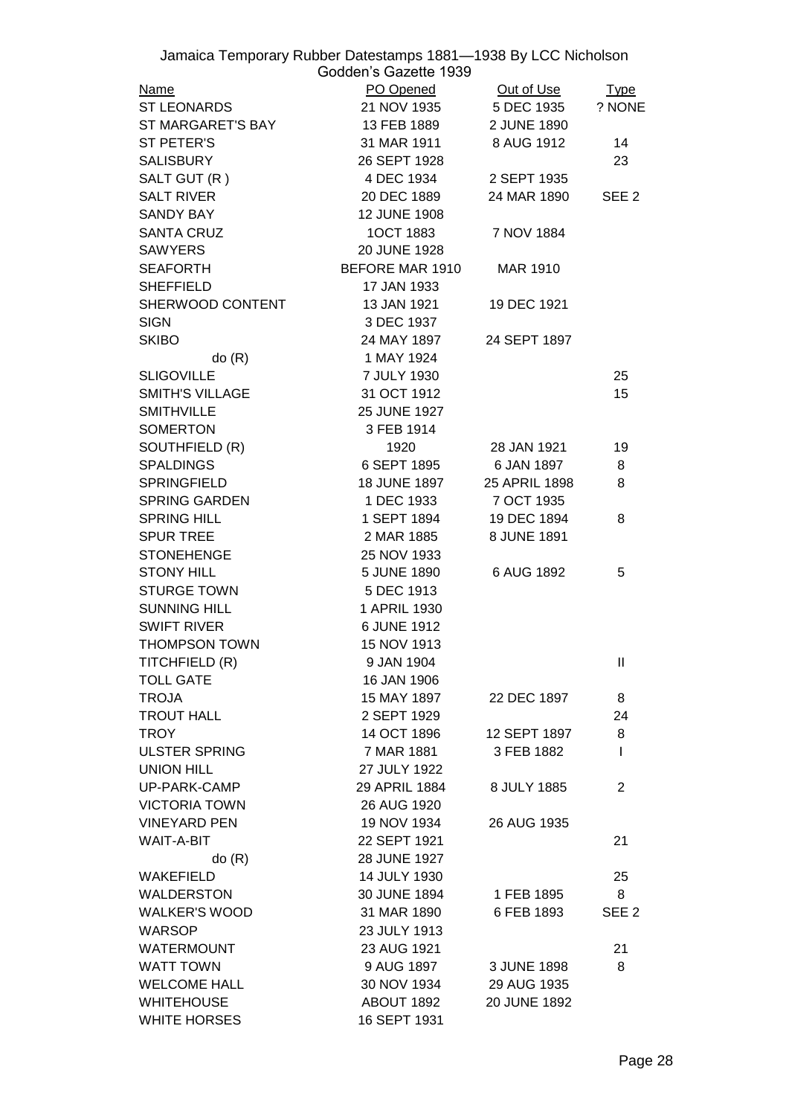|                        | Jamaica Temporary Rubber Datestamps 1881-1938 By LCC Nicholson<br>Godden's Gazette 1939 |               |                  |
|------------------------|-----------------------------------------------------------------------------------------|---------------|------------------|
| <b>Name</b>            | PO Opened Out of Use                                                                    |               | <u>Type</u>      |
| <b>ST LEONARDS</b>     | 21 NOV 1935 5 DEC 1935                                                                  |               | ? NONE           |
| ST MARGARET'S BAY      | 13 FEB 1889                                                                             | 2 JUNE 1890   |                  |
| <b>ST PETER'S</b>      | 31 MAR 1911                                                                             | 8 AUG 1912    | 14               |
| <b>SALISBURY</b>       | 26 SEPT 1928                                                                            |               | 23               |
| SALT GUT (R)           | 4 DEC 1934                                                                              | 2 SEPT 1935   |                  |
| <b>SALT RIVER</b>      | 20 DEC 1889                                                                             | 24 MAR 1890   | SEE <sub>2</sub> |
| <b>SANDY BAY</b>       | 12 JUNE 1908                                                                            |               |                  |
| <b>SANTA CRUZ</b>      | 1OCT 1883                                                                               | 7 NOV 1884    |                  |
| <b>SAWYERS</b>         | 20 JUNE 1928                                                                            |               |                  |
| <b>SEAFORTH</b>        | BEFORE MAR 1910                                                                         | MAR 1910      |                  |
| <b>SHEFFIELD</b>       | 17 JAN 1933                                                                             |               |                  |
| SHERWOOD CONTENT       | 13 JAN 1921                                                                             | 19 DEC 1921   |                  |
| <b>SIGN</b>            | 3 DEC 1937                                                                              |               |                  |
| <b>SKIBO</b>           | 24 MAY 1897                                                                             | 24 SEPT 1897  |                  |
| do(R)                  | 1 MAY 1924                                                                              |               |                  |
| <b>SLIGOVILLE</b>      | 7 JULY 1930                                                                             |               | 25               |
| <b>SMITH'S VILLAGE</b> | 31 OCT 1912                                                                             |               | 15               |
| <b>SMITHVILLE</b>      | 25 JUNE 1927                                                                            |               |                  |
| <b>SOMERTON</b>        | 3 FEB 1914                                                                              |               |                  |
| SOUTHFIELD (R)         | 1920                                                                                    | 28 JAN 1921   | 19               |
| <b>SPALDINGS</b>       | 6 SEPT 1895                                                                             | 6 JAN 1897    | 8                |
| <b>SPRINGFIELD</b>     | <b>18 JUNE 1897</b>                                                                     | 25 APRIL 1898 | 8                |
| <b>SPRING GARDEN</b>   | 1 DEC 1933                                                                              | 7 OCT 1935    |                  |
| <b>SPRING HILL</b>     | 1 SEPT 1894                                                                             | 19 DEC 1894   | 8                |
| <b>SPUR TREE</b>       | 2 MAR 1885                                                                              | 8 JUNE 1891   |                  |
| <b>STONEHENGE</b>      | 25 NOV 1933                                                                             |               |                  |
| <b>STONY HILL</b>      | 5 JUNE 1890                                                                             | 6 AUG 1892    | 5                |
| <b>STURGE TOWN</b>     | 5 DEC 1913                                                                              |               |                  |
| <b>SUNNING HILL</b>    | 1 APRIL 1930                                                                            |               |                  |
| <b>SWIFT RIVER</b>     | 6 JUNE 1912                                                                             |               |                  |
| THOMPSON TOWN          | 15 NOV 1913                                                                             |               |                  |
| TITCHFIELD (R)         | 9 JAN 1904                                                                              |               | Ш                |
| <b>TOLL GATE</b>       | 16 JAN 1906                                                                             |               |                  |
| <b>TROJA</b>           | 15 MAY 1897                                                                             | 22 DEC 1897   | 8                |
| <b>TROUT HALL</b>      | 2 SEPT 1929                                                                             |               | 24               |
| <b>TROY</b>            | 14 OCT 1896                                                                             | 12 SEPT 1897  | 8                |
| <b>ULSTER SPRING</b>   | 7 MAR 1881                                                                              | 3 FEB 1882    | $\mathbf{I}$     |
| <b>UNION HILL</b>      | 27 JULY 1922                                                                            |               |                  |
| UP-PARK-CAMP           | 29 APRIL 1884                                                                           | 8 JULY 1885   | $\overline{2}$   |
| <b>VICTORIA TOWN</b>   | 26 AUG 1920                                                                             |               |                  |
| <b>VINEYARD PEN</b>    | 19 NOV 1934                                                                             | 26 AUG 1935   |                  |
| <b>WAIT-A-BIT</b>      | 22 SEPT 1921                                                                            |               | 21               |
| do(R)                  | 28 JUNE 1927                                                                            |               |                  |
| <b>WAKEFIELD</b>       | 14 JULY 1930                                                                            |               | 25               |
| <b>WALDERSTON</b>      | 30 JUNE 1894                                                                            | 1 FEB 1895    | 8                |
| <b>WALKER'S WOOD</b>   | 31 MAR 1890                                                                             | 6 FEB 1893    | SEE <sub>2</sub> |
| <b>WARSOP</b>          | 23 JULY 1913                                                                            |               |                  |
| <b>WATERMOUNT</b>      | 23 AUG 1921                                                                             |               | 21               |
| <b>WATT TOWN</b>       | 9 AUG 1897                                                                              | 3 JUNE 1898   | 8                |
| <b>WELCOME HALL</b>    | 30 NOV 1934                                                                             | 29 AUG 1935   |                  |
| <b>WHITEHOUSE</b>      | ABOUT 1892                                                                              | 20 JUNE 1892  |                  |
| <b>WHITE HORSES</b>    |                                                                                         |               |                  |
|                        | 16 SEPT 1931                                                                            |               |                  |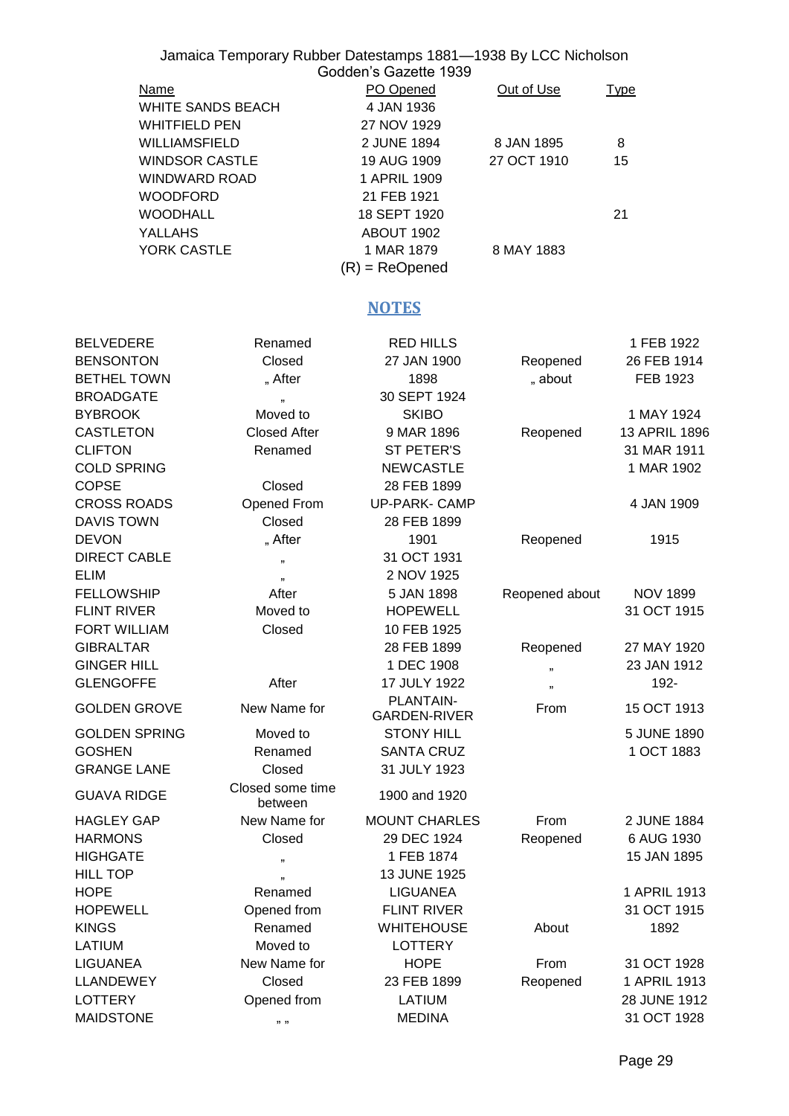|                                          | Jamaica Temporary Rubber Datestamps 1881-1938 By LCC Nicholson | Godden's Gazette 1939         |                |                 |
|------------------------------------------|----------------------------------------------------------------|-------------------------------|----------------|-----------------|
| <b>Name</b>                              |                                                                | PO Opened                     | Out of Use     | <u>Type</u>     |
|                                          | <b>WHITE SANDS BEACH</b>                                       | 4 JAN 1936                    |                |                 |
| <b>WHITFIELD PEN</b>                     |                                                                | 27 NOV 1929                   |                |                 |
| WILLIAMSFIELD                            |                                                                | 2 JUNE 1894                   | 8 JAN 1895     | 8               |
| <b>WINDSOR CASTLE</b>                    |                                                                | 19 AUG 1909                   | 27 OCT 1910    | 15              |
| WINDWARD ROAD                            |                                                                | 1 APRIL 1909                  |                |                 |
| <b>WOODFORD</b>                          |                                                                | 21 FEB 1921                   |                |                 |
| <b>WOODHALL</b>                          |                                                                | 18 SEPT 1920                  |                | 21              |
| <b>YALLAHS</b>                           |                                                                | ABOUT 1902                    |                |                 |
| YORK CASTLE                              |                                                                | 1 MAR 1879                    | 8 MAY 1883     |                 |
|                                          |                                                                | $(R)$ = ReOpened              |                |                 |
|                                          |                                                                | <b>NOTES</b>                  |                |                 |
| <b>BELVEDERE</b>                         | Renamed                                                        | <b>RED HILLS</b>              |                | 1 FEB 1922      |
| <b>BENSONTON</b>                         | Closed                                                         | 27 JAN 1900                   | Reopened       | 26 FEB 1914     |
| <b>BETHEL TOWN</b>                       | "After                                                         | 1898                          | " about        | FEB 1923        |
| <b>BROADGATE</b>                         | ,,                                                             | 30 SEPT 1924                  |                |                 |
| <b>BYBROOK</b>                           | Moved to                                                       | <b>SKIBO</b>                  |                | 1 MAY 1924      |
| <b>CASTLETON</b>                         | <b>Closed After</b>                                            | 9 MAR 1896                    | Reopened       | 13 APRIL 1896   |
| <b>CLIFTON</b>                           | Renamed                                                        | ST PETER'S                    |                | 31 MAR 1911     |
| <b>COLD SPRING</b>                       |                                                                | <b>NEWCASTLE</b>              |                | 1 MAR 1902      |
| <b>COPSE</b>                             | Closed                                                         | 28 FEB 1899                   |                |                 |
| <b>CROSS ROADS</b>                       | Opened From                                                    | <b>UP-PARK- CAMP</b>          |                | 4 JAN 1909      |
| <b>DAVIS TOWN</b>                        | Closed                                                         | 28 FEB 1899                   |                |                 |
| <b>DEVON</b>                             | "After                                                         | 1901                          | Reopened       | 1915            |
| <b>DIRECT CABLE</b>                      | 33                                                             | 31 OCT 1931                   |                |                 |
| <b>ELIM</b>                              | , 1                                                            | 2 NOV 1925                    |                |                 |
| <b>FELLOWSHIP</b>                        | After                                                          | 5 JAN 1898                    | Reopened about | <b>NOV 1899</b> |
| <b>FLINT RIVER</b>                       | Moved to                                                       | <b>HOPEWELL</b>               |                | 31 OCT 1915     |
| FORT WILLIAM                             | Closed                                                         | 10 FEB 1925                   |                |                 |
| <b>GIBRALTAR</b>                         |                                                                | 28 FEB 1899                   | Reopened       | 27 MAY 1920     |
| <b>GINGER HILL</b>                       |                                                                | 1 DEC 1908                    | ,,             | 23 JAN 1912     |
| <b>GLENGOFFE</b>                         | After                                                          | 17 JULY 1922                  | ,,             | 192-            |
| <b>GOLDEN GROVE</b>                      | New Name for                                                   | PLANTAIN-                     | From           | 15 OCT 1913     |
|                                          |                                                                | <b>GARDEN-RIVER</b>           |                |                 |
| GOLDEN SPRING                            | Moved to                                                       | <b>STONY HILL</b>             |                | 5 JUNE 1890     |
| <b>GOSHEN</b>                            | Renamed                                                        | <b>SANTA CRUZ</b>             |                | 1 OCT 1883      |
| <b>GRANGE LANE</b><br><b>GUAVA RIDGE</b> | Closed<br>Closed some time                                     | 31 JULY 1923<br>1900 and 1920 |                |                 |
| HAGLEY GAP                               | between<br>New Name for                                        | <b>MOUNT CHARLES</b>          | From           | 2 JUNE 1884     |
| <b>HARMONS</b>                           | Closed                                                         | 29 DEC 1924                   | Reopened       | 6 AUG 1930      |
| <b>HIGHGATE</b>                          | ,,                                                             | 1 FEB 1874                    |                | 15 JAN 1895     |
| <b>HILL TOP</b>                          | ,,                                                             | 13 JUNE 1925                  |                |                 |
| <b>HOPE</b>                              | Renamed                                                        | <b>LIGUANEA</b>               |                | 1 APRIL 1913    |
| <b>HOPEWELL</b>                          | Opened from                                                    | <b>FLINT RIVER</b>            |                | 31 OCT 1915     |
| <b>KINGS</b>                             | Renamed                                                        | <b>WHITEHOUSE</b>             | About          | 1892            |
| LATIUM                                   | Moved to                                                       | <b>LOTTERY</b>                |                |                 |
| LIGUANEA                                 | New Name for                                                   | <b>HOPE</b>                   | From           | 31 OCT 1928     |
| LLANDEWEY                                | Closed                                                         | 23 FEB 1899                   | Reopened       | 1 APRIL 1913    |
| LOTTERY                                  | Opened from                                                    | LATIUM                        |                | 28 JUNE 1912    |
| <b>MAIDSTONE</b>                         | <b>33 33</b>                                                   | <b>MEDINA</b>                 |                | 31 OCT 1928     |